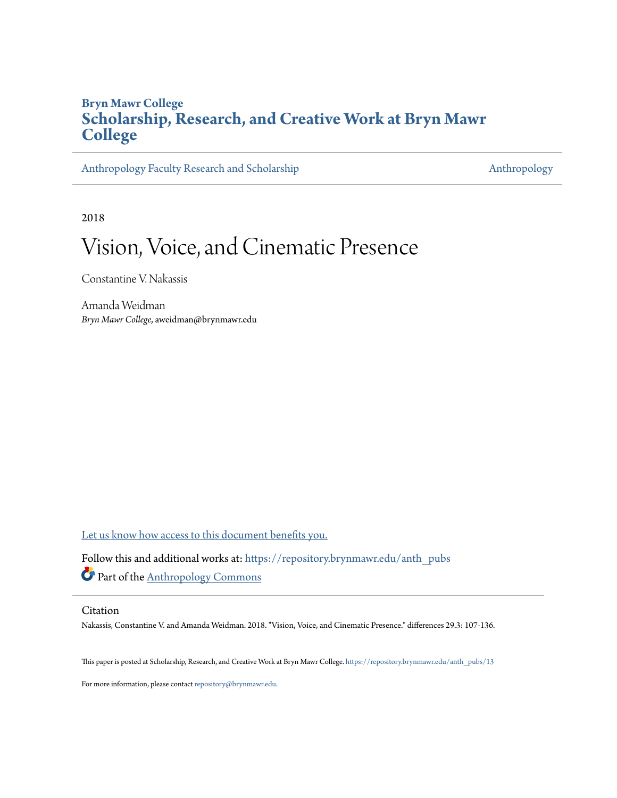# **Bryn Mawr College [Scholarship, Research, and Creative Work at Bryn Mawr](https://repository.brynmawr.edu?utm_source=repository.brynmawr.edu%2Fanth_pubs%2F13&utm_medium=PDF&utm_campaign=PDFCoverPages) [College](https://repository.brynmawr.edu?utm_source=repository.brynmawr.edu%2Fanth_pubs%2F13&utm_medium=PDF&utm_campaign=PDFCoverPages)**

[Anthropology Faculty Research and Scholarship](https://repository.brynmawr.edu/anth_pubs?utm_source=repository.brynmawr.edu%2Fanth_pubs%2F13&utm_medium=PDF&utm_campaign=PDFCoverPages) [Anthropology](https://repository.brynmawr.edu/anthropology?utm_source=repository.brynmawr.edu%2Fanth_pubs%2F13&utm_medium=PDF&utm_campaign=PDFCoverPages) Anthropology

2018

# Vision, Voice, and Cinematic Presence

Constantine V. Nakassis

Amanda Weidman *Bryn Mawr College*, aweidman@brynmawr.edu

[Let us know how access to this document benefits you.](http://repository.brynmawr.edu/open-access-feedback.html)

Follow this and additional works at: [https://repository.brynmawr.edu/anth\\_pubs](https://repository.brynmawr.edu/anth_pubs?utm_source=repository.brynmawr.edu%2Fanth_pubs%2F13&utm_medium=PDF&utm_campaign=PDFCoverPages) Part of the [Anthropology Commons](http://network.bepress.com/hgg/discipline/318?utm_source=repository.brynmawr.edu%2Fanth_pubs%2F13&utm_medium=PDF&utm_campaign=PDFCoverPages)

#### Citation

Nakassis, Constantine V. and Amanda Weidman. 2018. "Vision, Voice, and Cinematic Presence." differences 29.3: 107-136.

This paper is posted at Scholarship, Research, and Creative Work at Bryn Mawr College. [https://repository.brynmawr.edu/anth\\_pubs/13](https://repository.brynmawr.edu/anth_pubs/13)

For more information, please contact [repository@brynmawr.edu](mailto:repository@brynmawr.edu).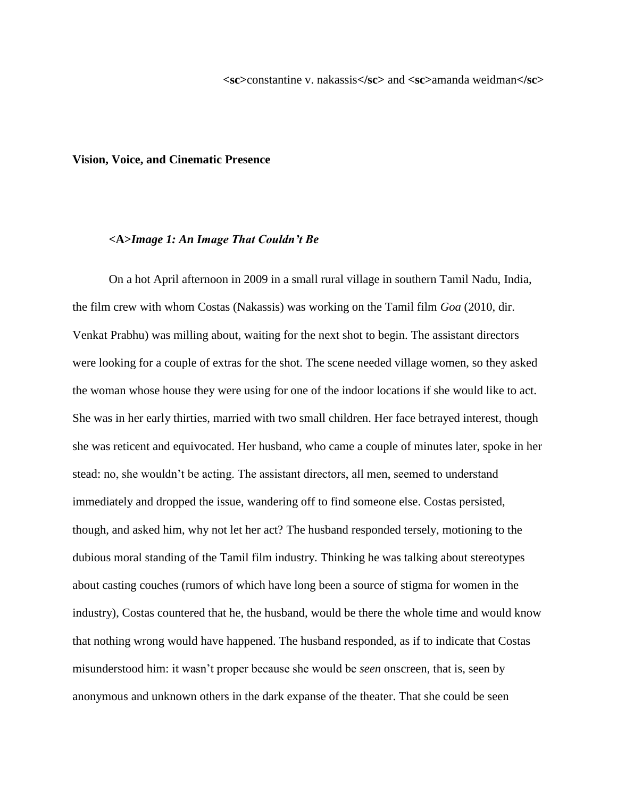**<sc>**constantine v. nakassis**</sc>** and **<sc>**amanda weidman**</sc>**

#### **Vision, Voice, and Cinematic Presence**

#### **<A>***Image 1: An Image That Couldn't Be*

On a hot April afternoon in 2009 in a small rural village in southern Tamil Nadu, India, the film crew with whom Costas (Nakassis) was working on the Tamil film *Goa* (2010, dir. Venkat Prabhu) was milling about, waiting for the next shot to begin. The assistant directors were looking for a couple of extras for the shot. The scene needed village women, so they asked the woman whose house they were using for one of the indoor locations if she would like to act. She was in her early thirties, married with two small children. Her face betrayed interest, though she was reticent and equivocated. Her husband, who came a couple of minutes later, spoke in her stead: no, she wouldn't be acting. The assistant directors, all men, seemed to understand immediately and dropped the issue, wandering off to find someone else. Costas persisted, though, and asked him, why not let her act? The husband responded tersely, motioning to the dubious moral standing of the Tamil film industry. Thinking he was talking about stereotypes about casting couches (rumors of which have long been a source of stigma for women in the industry), Costas countered that he, the husband, would be there the whole time and would know that nothing wrong would have happened. The husband responded, as if to indicate that Costas misunderstood him: it wasn't proper because she would be *seen* onscreen, that is, seen by anonymous and unknown others in the dark expanse of the theater. That she could be seen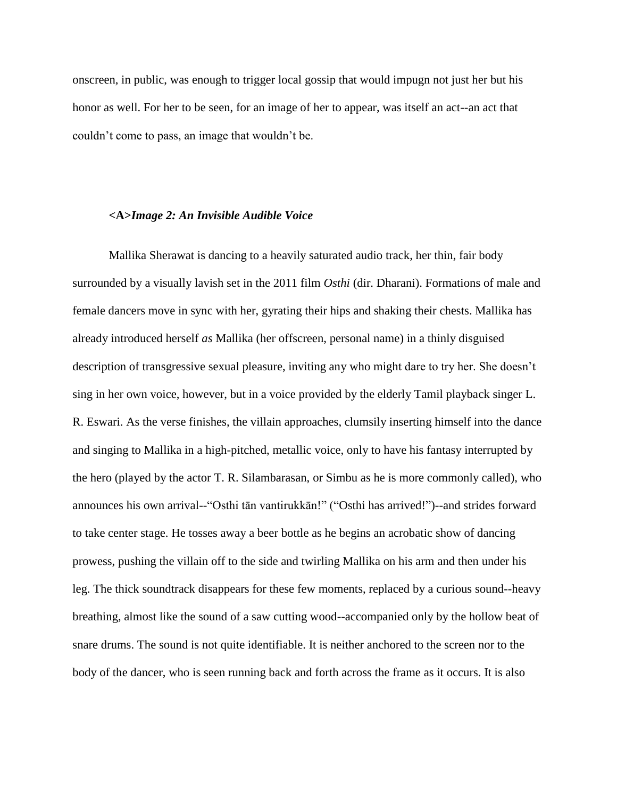onscreen, in public, was enough to trigger local gossip that would impugn not just her but his honor as well. For her to be seen, for an image of her to appear, was itself an act--an act that couldn't come to pass, an image that wouldn't be.

### **<A>***Image 2: An Invisible Audible Voice*

Mallika Sherawat is dancing to a heavily saturated audio track, her thin, fair body surrounded by a visually lavish set in the 2011 film *Osthi* (dir. Dharani). Formations of male and female dancers move in sync with her, gyrating their hips and shaking their chests. Mallika has already introduced herself *as* Mallika (her offscreen, personal name) in a thinly disguised description of transgressive sexual pleasure, inviting any who might dare to try her. She doesn't sing in her own voice, however, but in a voice provided by the elderly Tamil playback singer L. R. Eswari. As the verse finishes, the villain approaches, clumsily inserting himself into the dance and singing to Mallika in a high-pitched, metallic voice, only to have his fantasy interrupted by the hero (played by the actor T. R. Silambarasan, or Simbu as he is more commonly called), who announces his own arrival--"Osthi tān vantirukkān!" ("Osthi has arrived!")--and strides forward to take center stage. He tosses away a beer bottle as he begins an acrobatic show of dancing prowess, pushing the villain off to the side and twirling Mallika on his arm and then under his leg. The thick soundtrack disappears for these few moments, replaced by a curious sound--heavy breathing, almost like the sound of a saw cutting wood--accompanied only by the hollow beat of snare drums. The sound is not quite identifiable. It is neither anchored to the screen nor to the body of the dancer, who is seen running back and forth across the frame as it occurs. It is also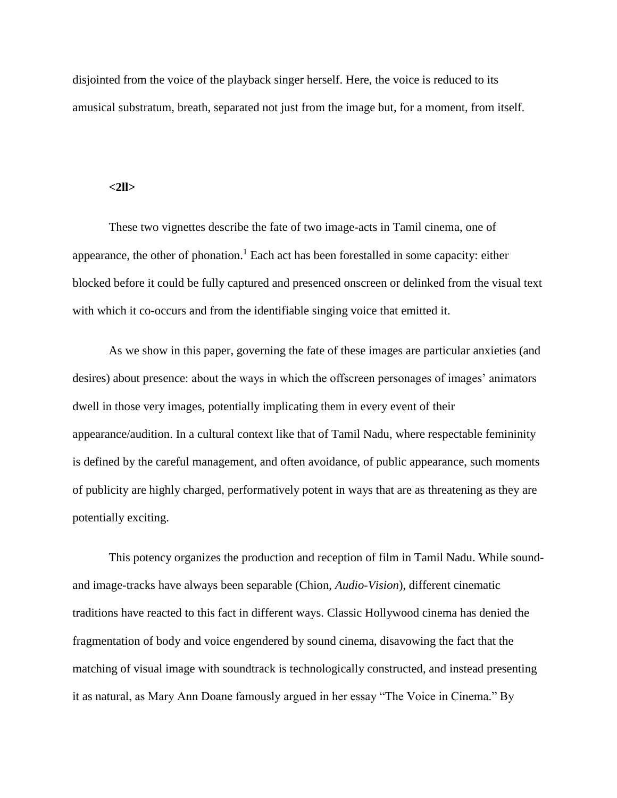disjointed from the voice of the playback singer herself. Here, the voice is reduced to its amusical substratum, breath, separated not just from the image but, for a moment, from itself.

#### **<2ll>**

These two vignettes describe the fate of two image-acts in Tamil cinema, one of appearance, the other of phonation.<sup>1</sup> Each act has been forestalled in some capacity: either blocked before it could be fully captured and presenced onscreen or delinked from the visual text with which it co-occurs and from the identifiable singing voice that emitted it.

As we show in this paper, governing the fate of these images are particular anxieties (and desires) about presence: about the ways in which the offscreen personages of images' animators dwell in those very images, potentially implicating them in every event of their appearance/audition. In a cultural context like that of Tamil Nadu, where respectable femininity is defined by the careful management, and often avoidance, of public appearance, such moments of publicity are highly charged, performatively potent in ways that are as threatening as they are potentially exciting.

This potency organizes the production and reception of film in Tamil Nadu. While soundand image-tracks have always been separable (Chion, *Audio-Vision*), different cinematic traditions have reacted to this fact in different ways. Classic Hollywood cinema has denied the fragmentation of body and voice engendered by sound cinema, disavowing the fact that the matching of visual image with soundtrack is technologically constructed, and instead presenting it as natural, as Mary Ann Doane famously argued in her essay "The Voice in Cinema." By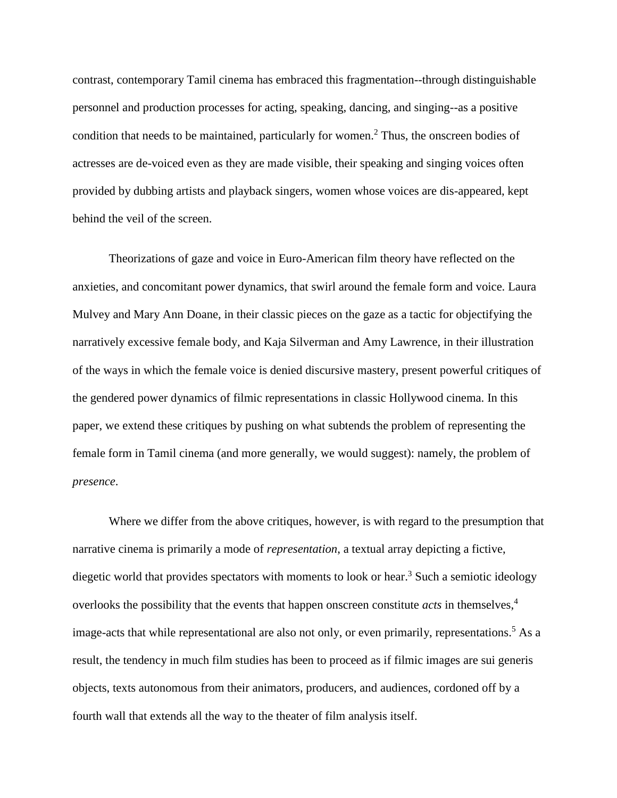contrast, contemporary Tamil cinema has embraced this fragmentation--through distinguishable personnel and production processes for acting, speaking, dancing, and singing--as a positive condition that needs to be maintained, particularly for women. <sup>2</sup> Thus, the onscreen bodies of actresses are de-voiced even as they are made visible, their speaking and singing voices often provided by dubbing artists and playback singers, women whose voices are dis-appeared, kept behind the veil of the screen.

Theorizations of gaze and voice in Euro-American film theory have reflected on the anxieties, and concomitant power dynamics, that swirl around the female form and voice. Laura Mulvey and Mary Ann Doane, in their classic pieces on the gaze as a tactic for objectifying the narratively excessive female body, and Kaja Silverman and Amy Lawrence, in their illustration of the ways in which the female voice is denied discursive mastery, present powerful critiques of the gendered power dynamics of filmic representations in classic Hollywood cinema. In this paper, we extend these critiques by pushing on what subtends the problem of representing the female form in Tamil cinema (and more generally, we would suggest): namely, the problem of *presence*.

Where we differ from the above critiques, however, is with regard to the presumption that narrative cinema is primarily a mode of *representation*, a textual array depicting a fictive, diegetic world that provides spectators with moments to look or hear.<sup>3</sup> Such a semiotic ideology overlooks the possibility that the events that happen onscreen constitute *acts* in themselves, 4 image-acts that while representational are also not only, or even primarily, representations.<sup>5</sup> As a result, the tendency in much film studies has been to proceed as if filmic images are sui generis objects, texts autonomous from their animators, producers, and audiences, cordoned off by a fourth wall that extends all the way to the theater of film analysis itself.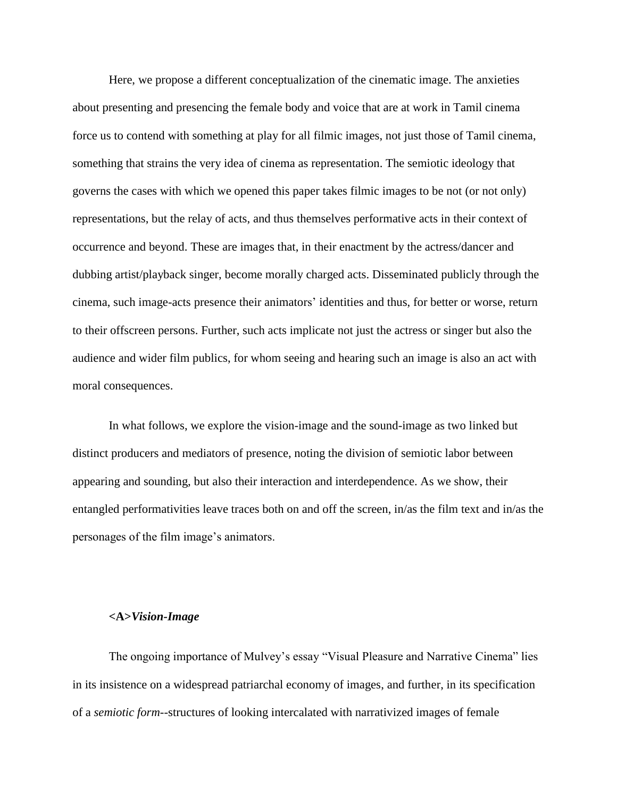Here, we propose a different conceptualization of the cinematic image. The anxieties about presenting and presencing the female body and voice that are at work in Tamil cinema force us to contend with something at play for all filmic images, not just those of Tamil cinema, something that strains the very idea of cinema as representation. The semiotic ideology that governs the cases with which we opened this paper takes filmic images to be not (or not only) representations, but the relay of acts, and thus themselves performative acts in their context of occurrence and beyond. These are images that, in their enactment by the actress/dancer and dubbing artist/playback singer, become morally charged acts. Disseminated publicly through the cinema, such image-acts presence their animators' identities and thus, for better or worse, return to their offscreen persons. Further, such acts implicate not just the actress or singer but also the audience and wider film publics, for whom seeing and hearing such an image is also an act with moral consequences.

In what follows, we explore the vision-image and the sound-image as two linked but distinct producers and mediators of presence, noting the division of semiotic labor between appearing and sounding, but also their interaction and interdependence. As we show, their entangled performativities leave traces both on and off the screen, in/as the film text and in/as the personages of the film image's animators.

#### **<A>***Vision-Image*

The ongoing importance of Mulvey's essay "Visual Pleasure and Narrative Cinema" lies in its insistence on a widespread patriarchal economy of images, and further, in its specification of a *semiotic form*--structures of looking intercalated with narrativized images of female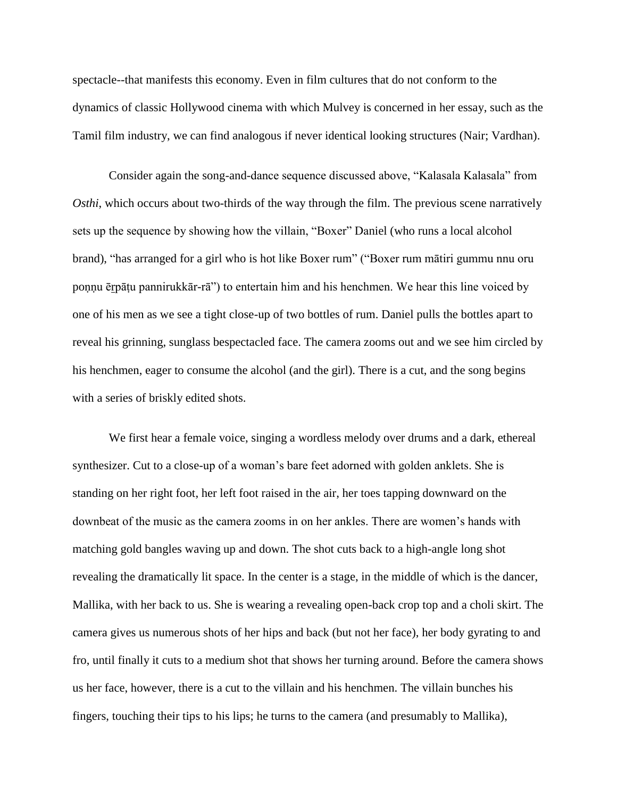spectacle--that manifests this economy. Even in film cultures that do not conform to the dynamics of classic Hollywood cinema with which Mulvey is concerned in her essay, such as the Tamil film industry, we can find analogous if never identical looking structures (Nair; Vardhan).

Consider again the song-and-dance sequence discussed above, "Kalasala Kalasala" from *Osthi*, which occurs about two-thirds of the way through the film. The previous scene narratively sets up the sequence by showing how the villain, "Boxer" Daniel (who runs a local alcohol brand), "has arranged for a girl who is hot like Boxer rum" ("Boxer rum mātiri gummu nnu oru poṇṇu ērpāṭu pannirukkār-rā") to entertain him and his henchmen. We hear this line voiced by one of his men as we see a tight close-up of two bottles of rum. Daniel pulls the bottles apart to reveal his grinning, sunglass bespectacled face. The camera zooms out and we see him circled by his henchmen, eager to consume the alcohol (and the girl). There is a cut, and the song begins with a series of briskly edited shots.

We first hear a female voice, singing a wordless melody over drums and a dark, ethereal synthesizer. Cut to a close-up of a woman's bare feet adorned with golden anklets. She is standing on her right foot, her left foot raised in the air, her toes tapping downward on the downbeat of the music as the camera zooms in on her ankles. There are women's hands with matching gold bangles waving up and down. The shot cuts back to a high-angle long shot revealing the dramatically lit space. In the center is a stage, in the middle of which is the dancer, Mallika, with her back to us. She is wearing a revealing open-back crop top and a choli skirt. The camera gives us numerous shots of her hips and back (but not her face), her body gyrating to and fro, until finally it cuts to a medium shot that shows her turning around. Before the camera shows us her face, however, there is a cut to the villain and his henchmen. The villain bunches his fingers, touching their tips to his lips; he turns to the camera (and presumably to Mallika),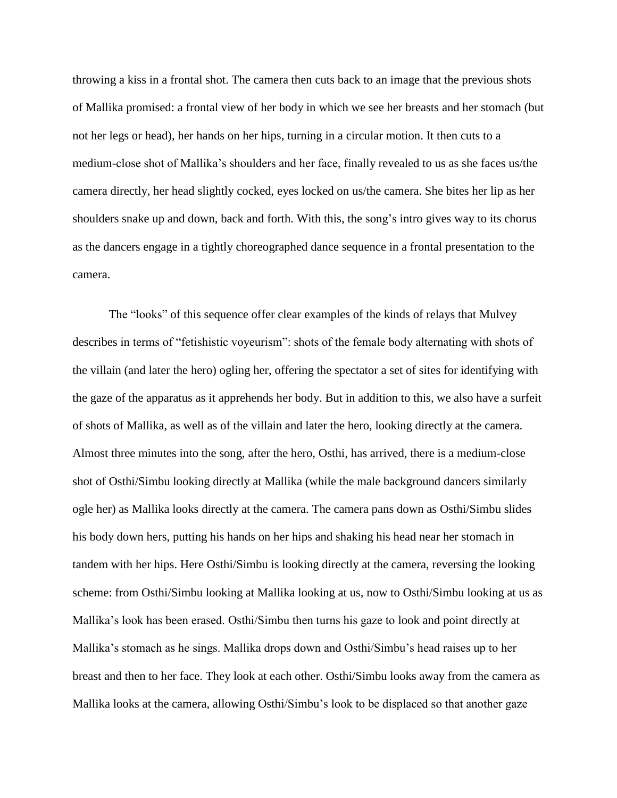throwing a kiss in a frontal shot. The camera then cuts back to an image that the previous shots of Mallika promised: a frontal view of her body in which we see her breasts and her stomach (but not her legs or head), her hands on her hips, turning in a circular motion. It then cuts to a medium-close shot of Mallika's shoulders and her face, finally revealed to us as she faces us/the camera directly, her head slightly cocked, eyes locked on us/the camera. She bites her lip as her shoulders snake up and down, back and forth. With this, the song's intro gives way to its chorus as the dancers engage in a tightly choreographed dance sequence in a frontal presentation to the camera.

The "looks" of this sequence offer clear examples of the kinds of relays that Mulvey describes in terms of "fetishistic voyeurism": shots of the female body alternating with shots of the villain (and later the hero) ogling her, offering the spectator a set of sites for identifying with the gaze of the apparatus as it apprehends her body. But in addition to this, we also have a surfeit of shots of Mallika, as well as of the villain and later the hero, looking directly at the camera. Almost three minutes into the song, after the hero, Osthi, has arrived, there is a medium-close shot of Osthi/Simbu looking directly at Mallika (while the male background dancers similarly ogle her) as Mallika looks directly at the camera. The camera pans down as Osthi/Simbu slides his body down hers, putting his hands on her hips and shaking his head near her stomach in tandem with her hips. Here Osthi/Simbu is looking directly at the camera, reversing the looking scheme: from Osthi/Simbu looking at Mallika looking at us, now to Osthi/Simbu looking at us as Mallika's look has been erased. Osthi/Simbu then turns his gaze to look and point directly at Mallika's stomach as he sings. Mallika drops down and Osthi/Simbu's head raises up to her breast and then to her face. They look at each other. Osthi/Simbu looks away from the camera as Mallika looks at the camera, allowing Osthi/Simbu's look to be displaced so that another gaze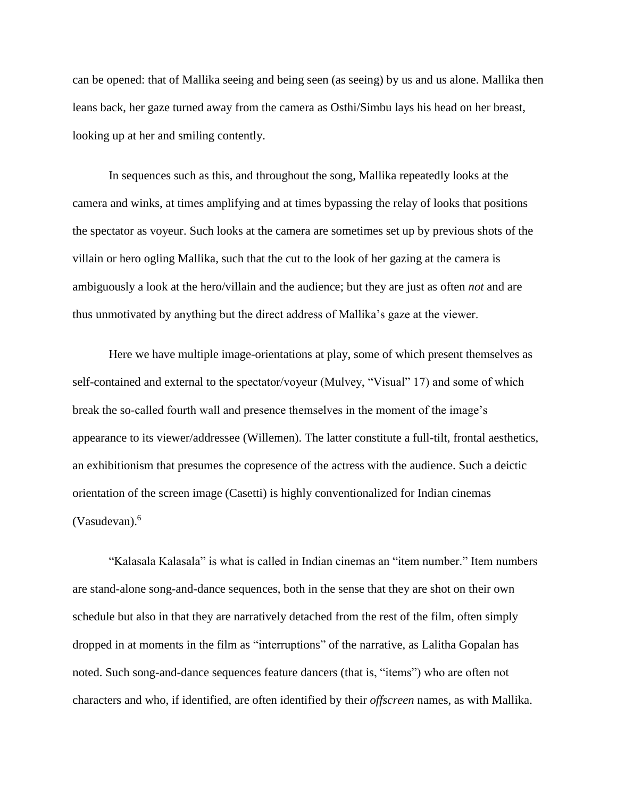can be opened: that of Mallika seeing and being seen (as seeing) by us and us alone. Mallika then leans back, her gaze turned away from the camera as Osthi/Simbu lays his head on her breast, looking up at her and smiling contently.

In sequences such as this, and throughout the song, Mallika repeatedly looks at the camera and winks, at times amplifying and at times bypassing the relay of looks that positions the spectator as voyeur. Such looks at the camera are sometimes set up by previous shots of the villain or hero ogling Mallika, such that the cut to the look of her gazing at the camera is ambiguously a look at the hero/villain and the audience; but they are just as often *not* and are thus unmotivated by anything but the direct address of Mallika's gaze at the viewer.

Here we have multiple image-orientations at play, some of which present themselves as self-contained and external to the spectator/voyeur (Mulvey, "Visual" 17) and some of which break the so-called fourth wall and presence themselves in the moment of the image's appearance to its viewer/addressee (Willemen). The latter constitute a full-tilt, frontal aesthetics, an exhibitionism that presumes the copresence of the actress with the audience. Such a deictic orientation of the screen image (Casetti) is highly conventionalized for Indian cinemas (Vasudevan).<sup>6</sup>

"Kalasala Kalasala" is what is called in Indian cinemas an "item number." Item numbers are stand-alone song-and-dance sequences, both in the sense that they are shot on their own schedule but also in that they are narratively detached from the rest of the film, often simply dropped in at moments in the film as "interruptions" of the narrative, as Lalitha Gopalan has noted. Such song-and-dance sequences feature dancers (that is, "items") who are often not characters and who, if identified, are often identified by their *offscreen* names, as with Mallika.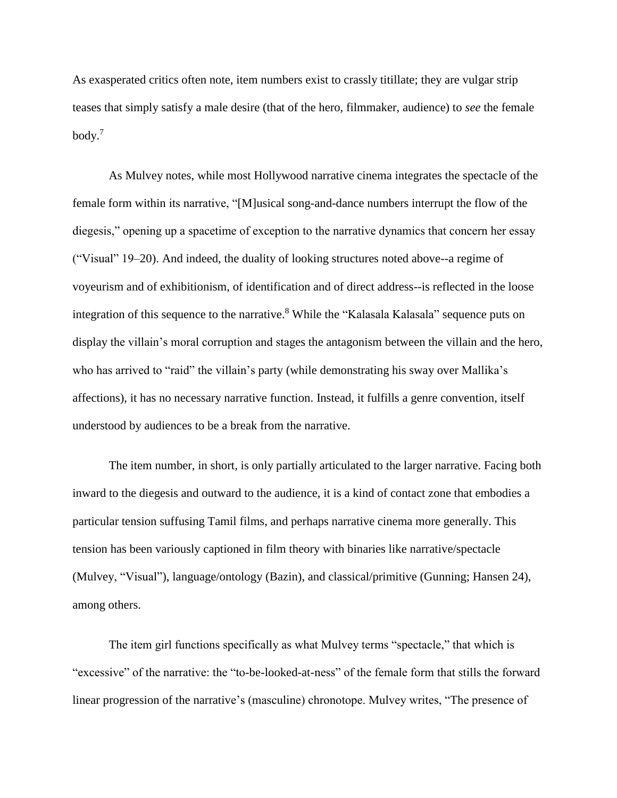As exasperated critics often note, item numbers exist to crassly titillate; they are vulgar strip teases that simply satisfy a male desire (that of the hero, filmmaker, audience) to *see* the female body. 7

As Mulvey notes, while most Hollywood narrative cinema integrates the spectacle of the female form within its narrative, "[M]usical song-and-dance numbers interrupt the flow of the diegesis," opening up a spacetime of exception to the narrative dynamics that concern her essay ("Visual" 19–20). And indeed, the duality of looking structures noted above--a regime of voyeurism and of exhibitionism, of identification and of direct address--is reflected in the loose integration of this sequence to the narrative. <sup>8</sup> While the "Kalasala Kalasala" sequence puts on display the villain's moral corruption and stages the antagonism between the villain and the hero, who has arrived to "raid" the villain's party (while demonstrating his sway over Mallika's affections), it has no necessary narrative function. Instead, it fulfills a genre convention, itself understood by audiences to be a break from the narrative.

The item number, in short, is only partially articulated to the larger narrative. Facing both inward to the diegesis and outward to the audience, it is a kind of contact zone that embodies a particular tension suffusing Tamil films, and perhaps narrative cinema more generally. This tension has been variously captioned in film theory with binaries like narrative/spectacle (Mulvey, "Visual"), language/ontology (Bazin), and classical/primitive (Gunning; Hansen 24), among others.

The item girl functions specifically as what Mulvey terms "spectacle," that which is "excessive" of the narrative: the "to-be-looked-at-ness" of the female form that stills the forward linear progression of the narrative's (masculine) chronotope. Mulvey writes, "The presence of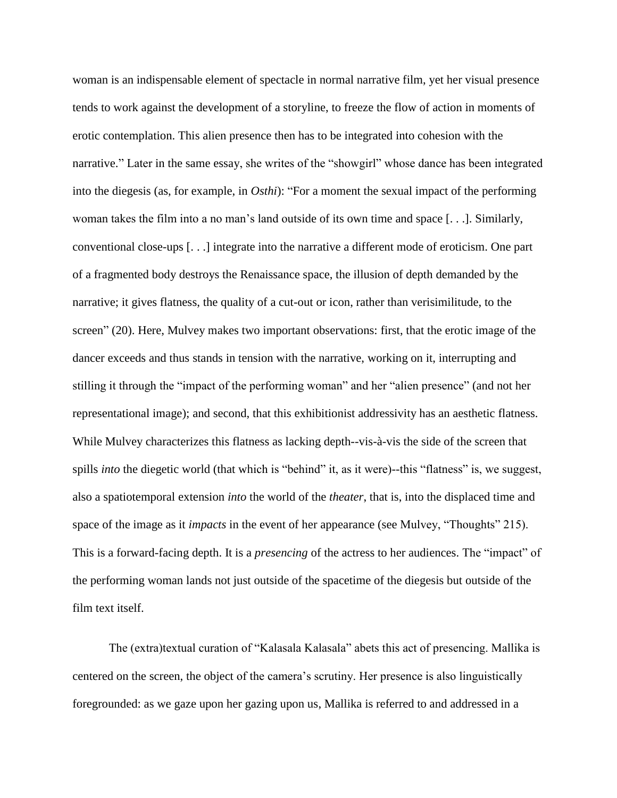woman is an indispensable element of spectacle in normal narrative film, yet her visual presence tends to work against the development of a storyline, to freeze the flow of action in moments of erotic contemplation. This alien presence then has to be integrated into cohesion with the narrative." Later in the same essay, she writes of the "showgirl" whose dance has been integrated into the diegesis (as, for example, in *Osthi*): "For a moment the sexual impact of the performing woman takes the film into a no man's land outside of its own time and space [. . .]. Similarly, conventional close-ups [. . .] integrate into the narrative a different mode of eroticism. One part of a fragmented body destroys the Renaissance space, the illusion of depth demanded by the narrative; it gives flatness, the quality of a cut-out or icon, rather than verisimilitude, to the screen" (20). Here, Mulvey makes two important observations: first, that the erotic image of the dancer exceeds and thus stands in tension with the narrative, working on it, interrupting and stilling it through the "impact of the performing woman" and her "alien presence" (and not her representational image); and second, that this exhibitionist addressivity has an aesthetic flatness. While Mulvey characterizes this flatness as lacking depth--vis-à-vis the side of the screen that spills *into* the diegetic world (that which is "behind" it, as it were)--this "flatness" is, we suggest, also a spatiotemporal extension *into* the world of the *theater*, that is, into the displaced time and space of the image as it *impacts* in the event of her appearance (see Mulvey, "Thoughts" 215). This is a forward-facing depth. It is a *presencing* of the actress to her audiences. The "impact" of the performing woman lands not just outside of the spacetime of the diegesis but outside of the film text itself.

The (extra)textual curation of "Kalasala Kalasala" abets this act of presencing. Mallika is centered on the screen, the object of the camera's scrutiny. Her presence is also linguistically foregrounded: as we gaze upon her gazing upon us, Mallika is referred to and addressed in a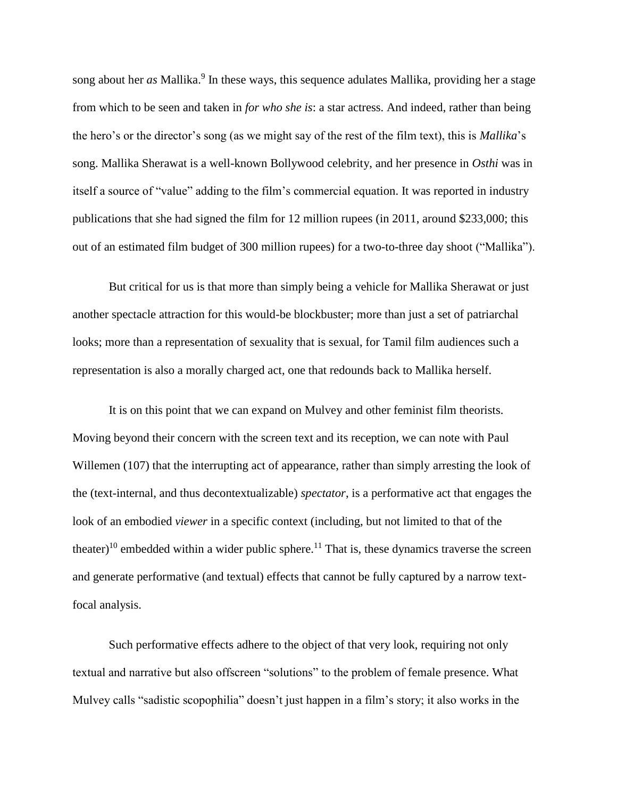song about her *as* Mallika.<sup>9</sup> In these ways, this sequence adulates Mallika, providing her a stage from which to be seen and taken in *for who she is*: a star actress. And indeed, rather than being the hero's or the director's song (as we might say of the rest of the film text), this is *Mallika*'s song. Mallika Sherawat is a well-known Bollywood celebrity, and her presence in *Osthi* was in itself a source of "value" adding to the film's commercial equation. It was reported in industry publications that she had signed the film for 12 million rupees (in 2011, around \$233,000; this out of an estimated film budget of 300 million rupees) for a two-to-three day shoot ("Mallika").

But critical for us is that more than simply being a vehicle for Mallika Sherawat or just another spectacle attraction for this would-be blockbuster; more than just a set of patriarchal looks; more than a representation of sexuality that is sexual, for Tamil film audiences such a representation is also a morally charged act, one that redounds back to Mallika herself.

It is on this point that we can expand on Mulvey and other feminist film theorists. Moving beyond their concern with the screen text and its reception, we can note with Paul Willemen (107) that the interrupting act of appearance, rather than simply arresting the look of the (text-internal, and thus decontextualizable) *spectator*, is a performative act that engages the look of an embodied *viewer* in a specific context (including, but not limited to that of the theater)<sup>10</sup> embedded within a wider public sphere.<sup>11</sup> That is, these dynamics traverse the screen and generate performative (and textual) effects that cannot be fully captured by a narrow textfocal analysis.

Such performative effects adhere to the object of that very look, requiring not only textual and narrative but also offscreen "solutions" to the problem of female presence. What Mulvey calls "sadistic scopophilia" doesn't just happen in a film's story; it also works in the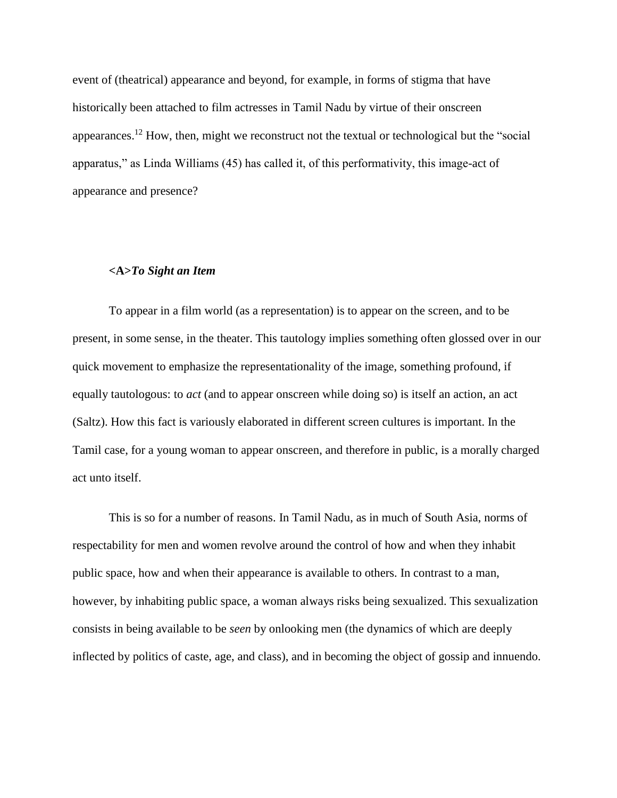event of (theatrical) appearance and beyond, for example, in forms of stigma that have historically been attached to film actresses in Tamil Nadu by virtue of their onscreen appearances.<sup>12</sup> How, then, might we reconstruct not the textual or technological but the "social" apparatus," as Linda Williams (45) has called it, of this performativity, this image-act of appearance and presence?

# **<A>***To Sight an Item*

To appear in a film world (as a representation) is to appear on the screen, and to be present, in some sense, in the theater. This tautology implies something often glossed over in our quick movement to emphasize the representationality of the image, something profound, if equally tautologous: to *act* (and to appear onscreen while doing so) is itself an action, an act (Saltz). How this fact is variously elaborated in different screen cultures is important. In the Tamil case, for a young woman to appear onscreen, and therefore in public, is a morally charged act unto itself.

This is so for a number of reasons. In Tamil Nadu, as in much of South Asia, norms of respectability for men and women revolve around the control of how and when they inhabit public space, how and when their appearance is available to others. In contrast to a man, however, by inhabiting public space, a woman always risks being sexualized. This sexualization consists in being available to be *seen* by onlooking men (the dynamics of which are deeply inflected by politics of caste, age, and class), and in becoming the object of gossip and innuendo.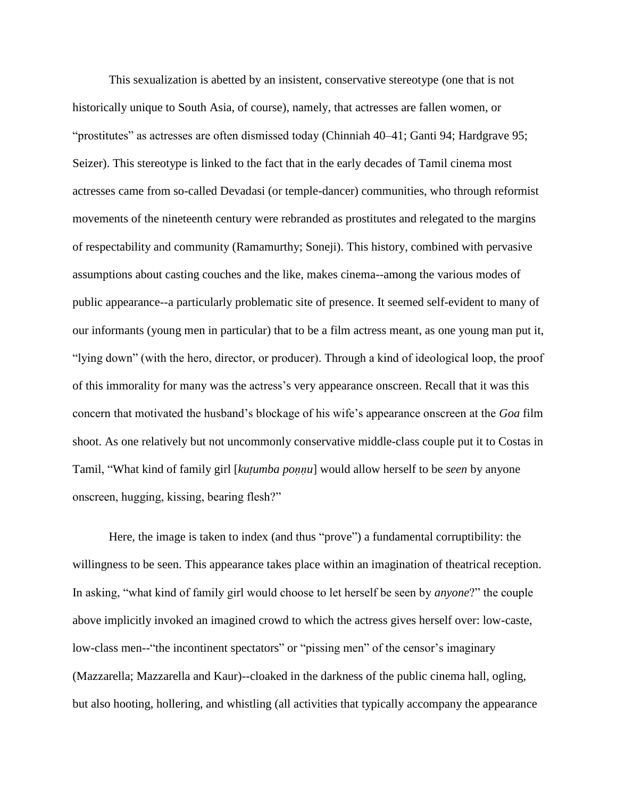This sexualization is abetted by an insistent, conservative stereotype (one that is not historically unique to South Asia, of course), namely, that actresses are fallen women, or "prostitutes" as actresses are often dismissed today (Chinniah 40–41; Ganti 94; Hardgrave 95; Seizer). This stereotype is linked to the fact that in the early decades of Tamil cinema most actresses came from so-called Devadasi (or temple-dancer) communities, who through reformist movements of the nineteenth century were rebranded as prostitutes and relegated to the margins of respectability and community (Ramamurthy; Soneji). This history, combined with pervasive assumptions about casting couches and the like, makes cinema--among the various modes of public appearance--a particularly problematic site of presence. It seemed self-evident to many of our informants (young men in particular) that to be a film actress meant, as one young man put it, "lying down" (with the hero, director, or producer). Through a kind of ideological loop, the proof of this immorality for many was the actress's very appearance onscreen. Recall that it was this concern that motivated the husband's blockage of his wife's appearance onscreen at the *Goa* film shoot. As one relatively but not uncommonly conservative middle-class couple put it to Costas in Tamil, "What kind of family girl [*kuṭumba poṇṇu*] would allow herself to be *seen* by anyone onscreen, hugging, kissing, bearing flesh?"

Here, the image is taken to index (and thus "prove") a fundamental corruptibility: the willingness to be seen. This appearance takes place within an imagination of theatrical reception. In asking, "what kind of family girl would choose to let herself be seen by *anyone*?" the couple above implicitly invoked an imagined crowd to which the actress gives herself over: low-caste, low-class men--"the incontinent spectators" or "pissing men" of the censor's imaginary (Mazzarella; Mazzarella and Kaur)--cloaked in the darkness of the public cinema hall, ogling, but also hooting, hollering, and whistling (all activities that typically accompany the appearance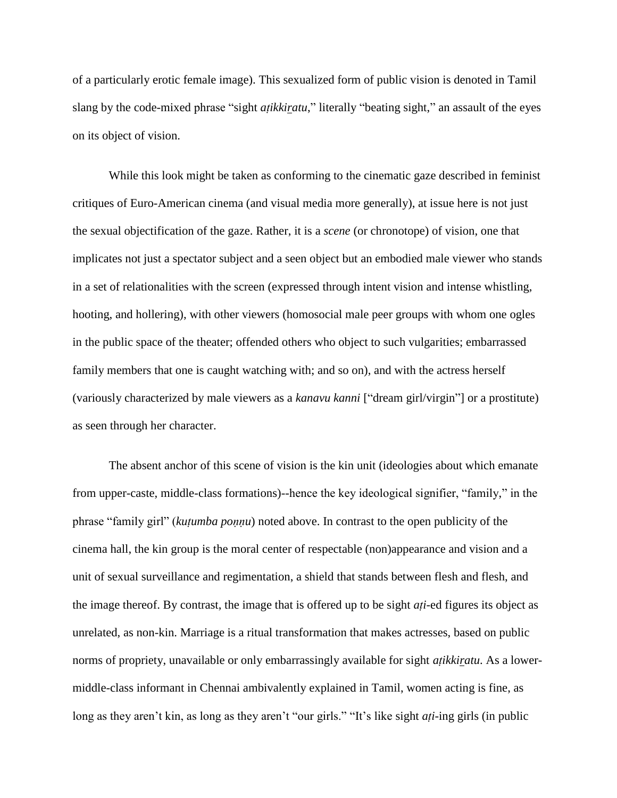of a particularly erotic female image). This sexualized form of public vision is denoted in Tamil slang by the code-mixed phrase "sight *atikkiratu*," literally "beating sight," an assault of the eyes on its object of vision.

While this look might be taken as conforming to the cinematic gaze described in feminist critiques of Euro-American cinema (and visual media more generally), at issue here is not just the sexual objectification of the gaze. Rather, it is a *scene* (or chronotope) of vision, one that implicates not just a spectator subject and a seen object but an embodied male viewer who stands in a set of relationalities with the screen (expressed through intent vision and intense whistling, hooting, and hollering), with other viewers (homosocial male peer groups with whom one ogles in the public space of the theater; offended others who object to such vulgarities; embarrassed family members that one is caught watching with; and so on), and with the actress herself (variously characterized by male viewers as a *kanavu kanni* ["dream girl/virgin"] or a prostitute) as seen through her character.

The absent anchor of this scene of vision is the kin unit (ideologies about which emanate from upper-caste, middle-class formations)--hence the key ideological signifier, "family," in the phrase "family girl" (*kuṭumba poṇṇu*) noted above. In contrast to the open publicity of the cinema hall, the kin group is the moral center of respectable (non)appearance and vision and a unit of sexual surveillance and regimentation, a shield that stands between flesh and flesh, and the image thereof. By contrast, the image that is offered up to be sight *aṭi*-ed figures its object as unrelated, as non-kin. Marriage is a ritual transformation that makes actresses, based on public norms of propriety, unavailable or only embarrassingly available for sight *aṭikkiratu*. As a lowermiddle-class informant in Chennai ambivalently explained in Tamil, women acting is fine, as long as they aren't kin, as long as they aren't "our girls." "It's like sight *aṭi*-ing girls (in public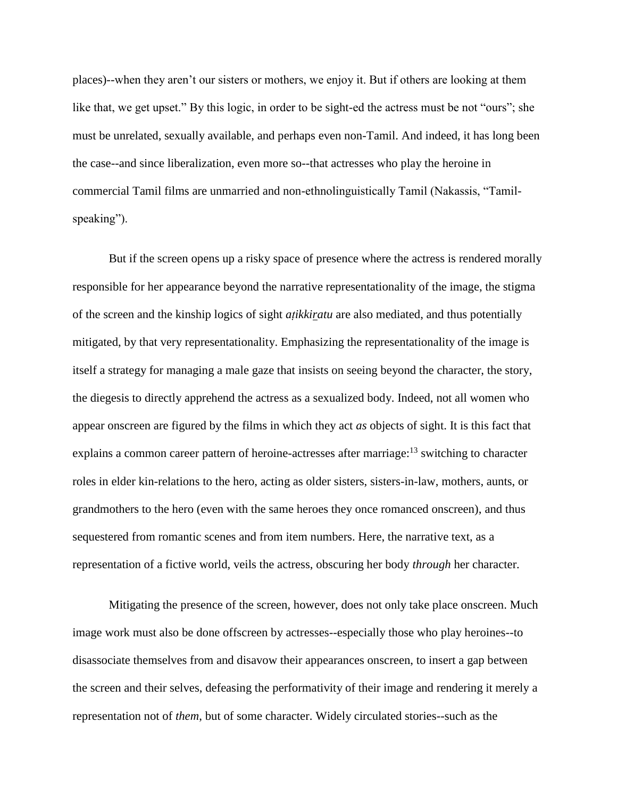places)--when they aren't our sisters or mothers, we enjoy it. But if others are looking at them like that, we get upset." By this logic, in order to be sight-ed the actress must be not "ours"; she must be unrelated, sexually available, and perhaps even non-Tamil. And indeed, it has long been the case--and since liberalization, even more so--that actresses who play the heroine in commercial Tamil films are unmarried and non-ethnolinguistically Tamil (Nakassis, "Tamilspeaking").

But if the screen opens up a risky space of presence where the actress is rendered morally responsible for her appearance beyond the narrative representationality of the image, the stigma of the screen and the kinship logics of sight *aṭikkiratu* are also mediated, and thus potentially mitigated, by that very representationality. Emphasizing the representationality of the image is itself a strategy for managing a male gaze that insists on seeing beyond the character, the story, the diegesis to directly apprehend the actress as a sexualized body. Indeed, not all women who appear onscreen are figured by the films in which they act *as* objects of sight. It is this fact that explains a common career pattern of heroine-actresses after marriage:<sup>13</sup> switching to character roles in elder kin-relations to the hero, acting as older sisters, sisters-in-law, mothers, aunts, or grandmothers to the hero (even with the same heroes they once romanced onscreen), and thus sequestered from romantic scenes and from item numbers. Here, the narrative text, as a representation of a fictive world, veils the actress, obscuring her body *through* her character.

Mitigating the presence of the screen, however, does not only take place onscreen. Much image work must also be done offscreen by actresses--especially those who play heroines--to disassociate themselves from and disavow their appearances onscreen, to insert a gap between the screen and their selves, defeasing the performativity of their image and rendering it merely a representation not of *them*, but of some character. Widely circulated stories--such as the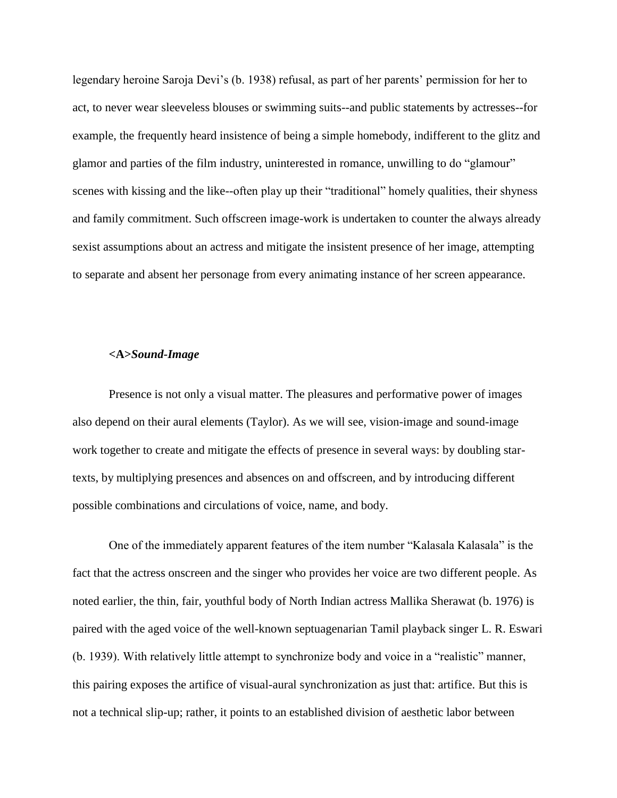legendary heroine Saroja Devi's (b. 1938) refusal, as part of her parents' permission for her to act, to never wear sleeveless blouses or swimming suits--and public statements by actresses--for example, the frequently heard insistence of being a simple homebody, indifferent to the glitz and glamor and parties of the film industry, uninterested in romance, unwilling to do "glamour" scenes with kissing and the like--often play up their "traditional" homely qualities, their shyness and family commitment. Such offscreen image-work is undertaken to counter the always already sexist assumptions about an actress and mitigate the insistent presence of her image, attempting to separate and absent her personage from every animating instance of her screen appearance.

#### **<A>***Sound-Image*

Presence is not only a visual matter. The pleasures and performative power of images also depend on their aural elements (Taylor). As we will see, vision-image and sound-image work together to create and mitigate the effects of presence in several ways: by doubling startexts, by multiplying presences and absences on and offscreen, and by introducing different possible combinations and circulations of voice, name, and body.

One of the immediately apparent features of the item number "Kalasala Kalasala" is the fact that the actress onscreen and the singer who provides her voice are two different people. As noted earlier, the thin, fair, youthful body of North Indian actress Mallika Sherawat (b. 1976) is paired with the aged voice of the well-known septuagenarian Tamil playback singer L. R. Eswari (b. 1939). With relatively little attempt to synchronize body and voice in a "realistic" manner, this pairing exposes the artifice of visual-aural synchronization as just that: artifice. But this is not a technical slip-up; rather, it points to an established division of aesthetic labor between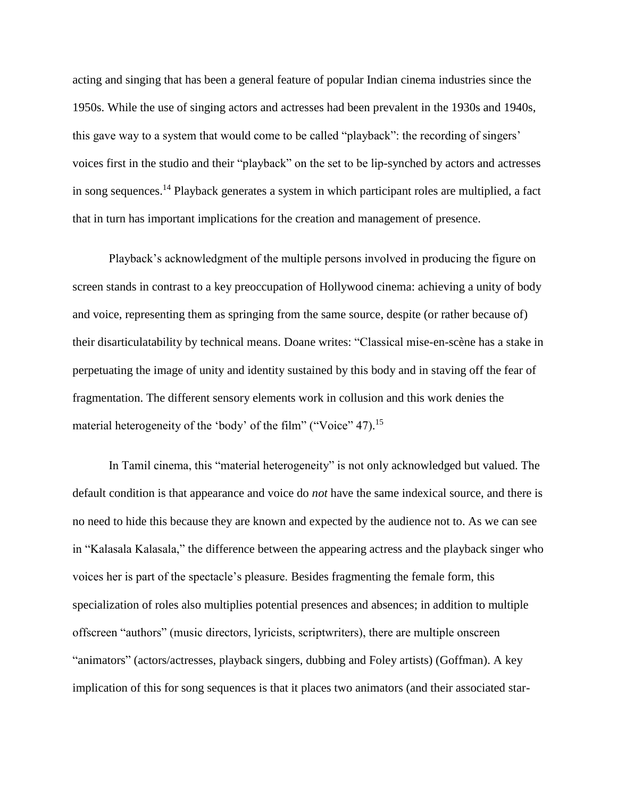acting and singing that has been a general feature of popular Indian cinema industries since the 1950s. While the use of singing actors and actresses had been prevalent in the 1930s and 1940s, this gave way to a system that would come to be called "playback": the recording of singers' voices first in the studio and their "playback" on the set to be lip-synched by actors and actresses in song sequences.<sup>14</sup> Playback generates a system in which participant roles are multiplied, a fact that in turn has important implications for the creation and management of presence.

Playback's acknowledgment of the multiple persons involved in producing the figure on screen stands in contrast to a key preoccupation of Hollywood cinema: achieving a unity of body and voice, representing them as springing from the same source, despite (or rather because of) their disarticulatability by technical means. Doane writes: "Classical mise-en-scène has a stake in perpetuating the image of unity and identity sustained by this body and in staving off the fear of fragmentation. The different sensory elements work in collusion and this work denies the material heterogeneity of the 'body' of the film" ("Voice" 47).<sup>15</sup>

In Tamil cinema, this "material heterogeneity" is not only acknowledged but valued. The default condition is that appearance and voice do *not* have the same indexical source, and there is no need to hide this because they are known and expected by the audience not to. As we can see in "Kalasala Kalasala," the difference between the appearing actress and the playback singer who voices her is part of the spectacle's pleasure. Besides fragmenting the female form, this specialization of roles also multiplies potential presences and absences; in addition to multiple offscreen "authors" (music directors, lyricists, scriptwriters), there are multiple onscreen "animators" (actors/actresses, playback singers, dubbing and Foley artists) (Goffman). A key implication of this for song sequences is that it places two animators (and their associated star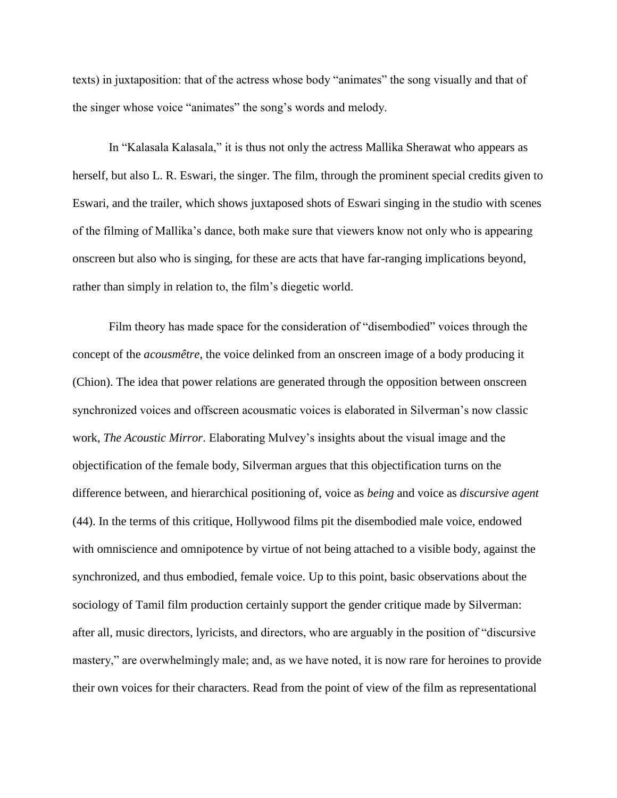texts) in juxtaposition: that of the actress whose body "animates" the song visually and that of the singer whose voice "animates" the song's words and melody.

In "Kalasala Kalasala," it is thus not only the actress Mallika Sherawat who appears as herself, but also L. R. Eswari, the singer. The film, through the prominent special credits given to Eswari, and the trailer, which shows juxtaposed shots of Eswari singing in the studio with scenes of the filming of Mallika's dance, both make sure that viewers know not only who is appearing onscreen but also who is singing, for these are acts that have far-ranging implications beyond, rather than simply in relation to, the film's diegetic world.

Film theory has made space for the consideration of "disembodied" voices through the concept of the *acousmêtre*, the voice delinked from an onscreen image of a body producing it (Chion). The idea that power relations are generated through the opposition between onscreen synchronized voices and offscreen acousmatic voices is elaborated in Silverman's now classic work, *The Acoustic Mirror*. Elaborating Mulvey's insights about the visual image and the objectification of the female body, Silverman argues that this objectification turns on the difference between, and hierarchical positioning of, voice as *being* and voice as *discursive agent* (44). In the terms of this critique, Hollywood films pit the disembodied male voice, endowed with omniscience and omnipotence by virtue of not being attached to a visible body, against the synchronized, and thus embodied, female voice. Up to this point, basic observations about the sociology of Tamil film production certainly support the gender critique made by Silverman: after all, music directors, lyricists, and directors, who are arguably in the position of "discursive mastery," are overwhelmingly male; and, as we have noted, it is now rare for heroines to provide their own voices for their characters. Read from the point of view of the film as representational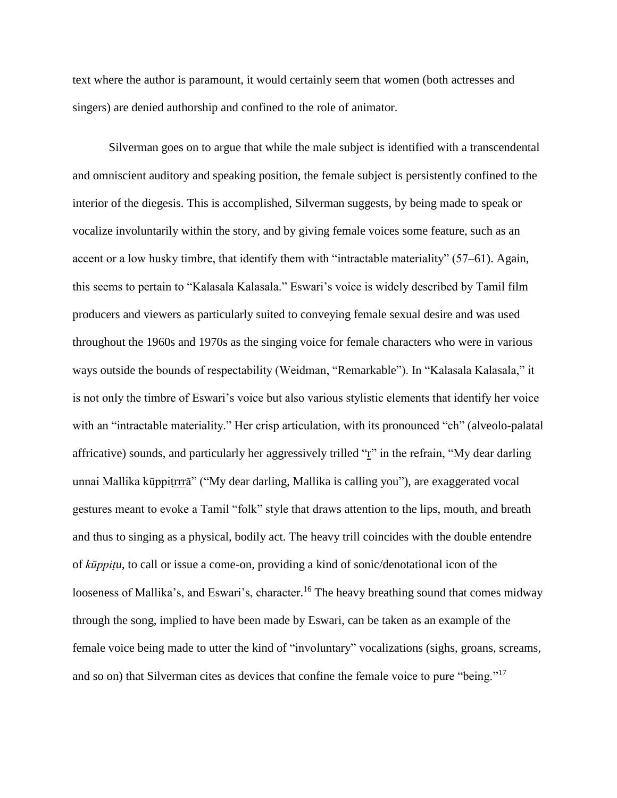text where the author is paramount, it would certainly seem that women (both actresses and singers) are denied authorship and confined to the role of animator.

Silverman goes on to argue that while the male subject is identified with a transcendental and omniscient auditory and speaking position, the female subject is persistently confined to the interior of the diegesis. This is accomplished, Silverman suggests, by being made to speak or vocalize involuntarily within the story, and by giving female voices some feature, such as an accent or a low husky timbre, that identify them with "intractable materiality" (57–61). Again, this seems to pertain to "Kalasala Kalasala." Eswari's voice is widely described by Tamil film producers and viewers as particularly suited to conveying female sexual desire and was used throughout the 1960s and 1970s as the singing voice for female characters who were in various ways outside the bounds of respectability (Weidman, "Remarkable"). In "Kalasala Kalasala," it is not only the timbre of Eswari's voice but also various stylistic elements that identify her voice with an "intractable materiality." Her crisp articulation, with its pronounced "ch" (alveolo-palatal affricative) sounds, and particularly her aggressively trilled " $\mathbf{r}$ " in the refrain, "My dear darling unnai Mallika kūppiṭrrrā" ("My dear darling, Mallika is calling you"), are exaggerated vocal gestures meant to evoke a Tamil "folk" style that draws attention to the lips, mouth, and breath and thus to singing as a physical, bodily act. The heavy trill coincides with the double entendre of *kūppiṭu*, to call or issue a come-on, providing a kind of sonic/denotational icon of the looseness of Mallika's, and Eswari's, character.<sup>16</sup> The heavy breathing sound that comes midway through the song, implied to have been made by Eswari, can be taken as an example of the female voice being made to utter the kind of "involuntary" vocalizations (sighs, groans, screams, and so on) that Silverman cites as devices that confine the female voice to pure "being."<sup>17</sup>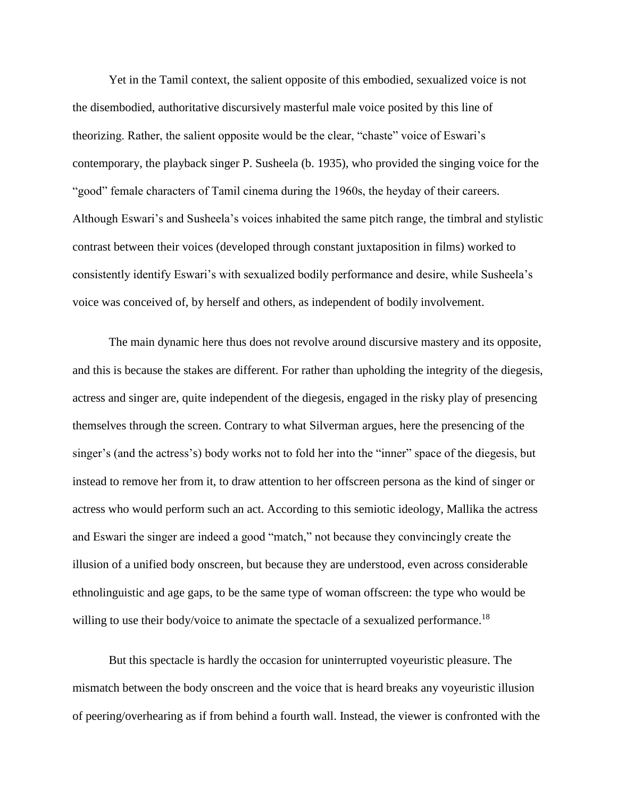Yet in the Tamil context, the salient opposite of this embodied, sexualized voice is not the disembodied, authoritative discursively masterful male voice posited by this line of theorizing. Rather, the salient opposite would be the clear, "chaste" voice of Eswari's contemporary, the playback singer P. Susheela (b. 1935), who provided the singing voice for the "good" female characters of Tamil cinema during the 1960s, the heyday of their careers. Although Eswari's and Susheela's voices inhabited the same pitch range, the timbral and stylistic contrast between their voices (developed through constant juxtaposition in films) worked to consistently identify Eswari's with sexualized bodily performance and desire, while Susheela's voice was conceived of, by herself and others, as independent of bodily involvement.

The main dynamic here thus does not revolve around discursive mastery and its opposite, and this is because the stakes are different. For rather than upholding the integrity of the diegesis, actress and singer are, quite independent of the diegesis, engaged in the risky play of presencing themselves through the screen. Contrary to what Silverman argues, here the presencing of the singer's (and the actress's) body works not to fold her into the "inner" space of the diegesis, but instead to remove her from it, to draw attention to her offscreen persona as the kind of singer or actress who would perform such an act. According to this semiotic ideology, Mallika the actress and Eswari the singer are indeed a good "match," not because they convincingly create the illusion of a unified body onscreen, but because they are understood, even across considerable ethnolinguistic and age gaps, to be the same type of woman offscreen: the type who would be willing to use their body/voice to animate the spectacle of a sexualized performance.<sup>18</sup>

But this spectacle is hardly the occasion for uninterrupted voyeuristic pleasure. The mismatch between the body onscreen and the voice that is heard breaks any voyeuristic illusion of peering/overhearing as if from behind a fourth wall. Instead, the viewer is confronted with the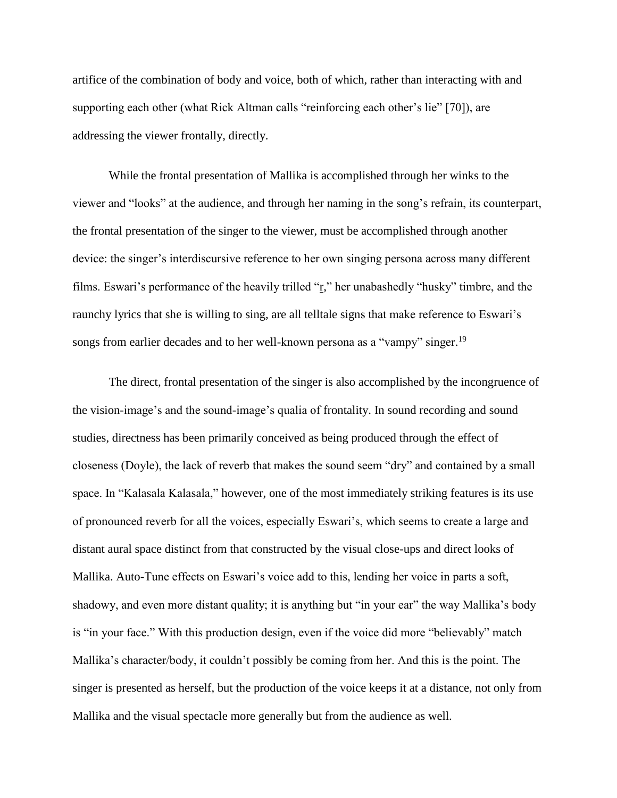artifice of the combination of body and voice, both of which, rather than interacting with and supporting each other (what Rick Altman calls "reinforcing each other's lie" [70]), are addressing the viewer frontally, directly.

While the frontal presentation of Mallika is accomplished through her winks to the viewer and "looks" at the audience, and through her naming in the song's refrain, its counterpart, the frontal presentation of the singer to the viewer, must be accomplished through another device: the singer's interdiscursive reference to her own singing persona across many different films. Eswari's performance of the heavily trilled "r," her unabashedly "husky" timbre, and the raunchy lyrics that she is willing to sing, are all telltale signs that make reference to Eswari's songs from earlier decades and to her well-known persona as a "vampy" singer.<sup>19</sup>

The direct, frontal presentation of the singer is also accomplished by the incongruence of the vision-image's and the sound-image's qualia of frontality. In sound recording and sound studies, directness has been primarily conceived as being produced through the effect of closeness (Doyle), the lack of reverb that makes the sound seem "dry" and contained by a small space. In "Kalasala Kalasala," however, one of the most immediately striking features is its use of pronounced reverb for all the voices, especially Eswari's, which seems to create a large and distant aural space distinct from that constructed by the visual close-ups and direct looks of Mallika. Auto-Tune effects on Eswari's voice add to this, lending her voice in parts a soft, shadowy, and even more distant quality; it is anything but "in your ear" the way Mallika's body is "in your face." With this production design, even if the voice did more "believably" match Mallika's character/body, it couldn't possibly be coming from her. And this is the point. The singer is presented as herself, but the production of the voice keeps it at a distance, not only from Mallika and the visual spectacle more generally but from the audience as well.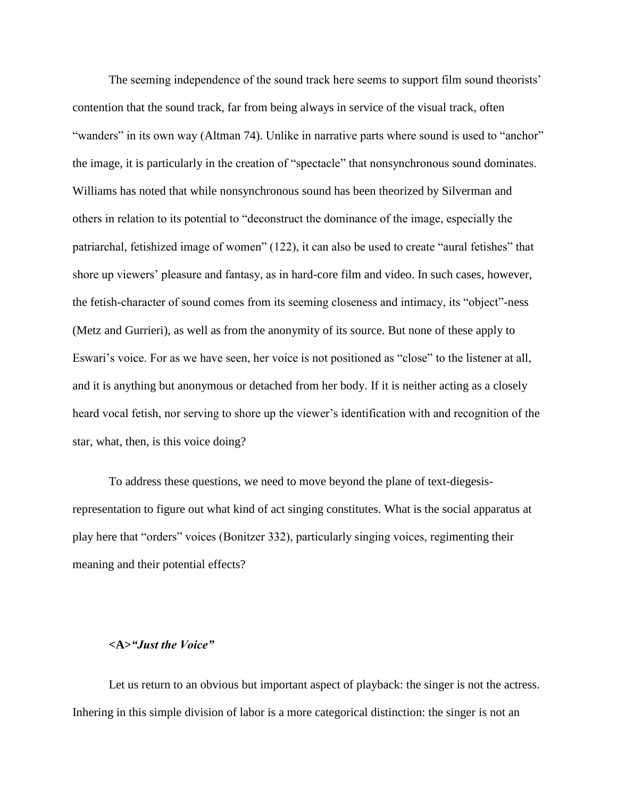The seeming independence of the sound track here seems to support film sound theorists' contention that the sound track, far from being always in service of the visual track, often "wanders" in its own way (Altman 74). Unlike in narrative parts where sound is used to "anchor" the image, it is particularly in the creation of "spectacle" that nonsynchronous sound dominates. Williams has noted that while nonsynchronous sound has been theorized by Silverman and others in relation to its potential to "deconstruct the dominance of the image, especially the patriarchal, fetishized image of women" (122), it can also be used to create "aural fetishes" that shore up viewers' pleasure and fantasy, as in hard-core film and video. In such cases, however, the fetish-character of sound comes from its seeming closeness and intimacy, its "object"-ness (Metz and Gurrieri), as well as from the anonymity of its source. But none of these apply to Eswari's voice. For as we have seen, her voice is not positioned as "close" to the listener at all, and it is anything but anonymous or detached from her body. If it is neither acting as a closely heard vocal fetish, nor serving to shore up the viewer's identification with and recognition of the star, what, then, is this voice doing?

To address these questions, we need to move beyond the plane of text-diegesisrepresentation to figure out what kind of act singing constitutes. What is the social apparatus at play here that "orders" voices (Bonitzer 332), particularly singing voices, regimenting their meaning and their potential effects?

# **<A>***"Just the Voice"*

Let us return to an obvious but important aspect of playback: the singer is not the actress. Inhering in this simple division of labor is a more categorical distinction: the singer is not an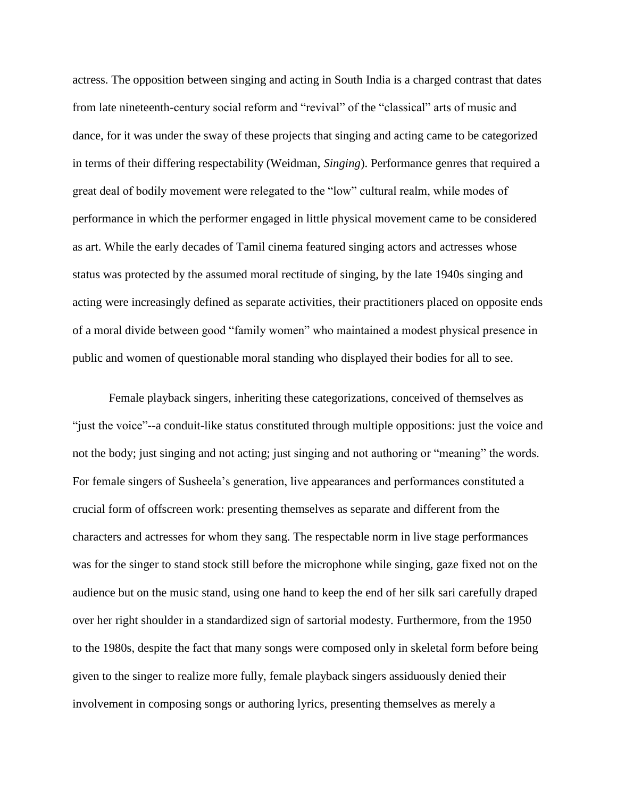actress. The opposition between singing and acting in South India is a charged contrast that dates from late nineteenth-century social reform and "revival" of the "classical" arts of music and dance, for it was under the sway of these projects that singing and acting came to be categorized in terms of their differing respectability (Weidman, *Singing*). Performance genres that required a great deal of bodily movement were relegated to the "low" cultural realm, while modes of performance in which the performer engaged in little physical movement came to be considered as art. While the early decades of Tamil cinema featured singing actors and actresses whose status was protected by the assumed moral rectitude of singing, by the late 1940s singing and acting were increasingly defined as separate activities, their practitioners placed on opposite ends of a moral divide between good "family women" who maintained a modest physical presence in public and women of questionable moral standing who displayed their bodies for all to see.

Female playback singers, inheriting these categorizations, conceived of themselves as "just the voice"--a conduit-like status constituted through multiple oppositions: just the voice and not the body; just singing and not acting; just singing and not authoring or "meaning" the words. For female singers of Susheela's generation, live appearances and performances constituted a crucial form of offscreen work: presenting themselves as separate and different from the characters and actresses for whom they sang. The respectable norm in live stage performances was for the singer to stand stock still before the microphone while singing, gaze fixed not on the audience but on the music stand, using one hand to keep the end of her silk sari carefully draped over her right shoulder in a standardized sign of sartorial modesty. Furthermore, from the 1950 to the 1980s, despite the fact that many songs were composed only in skeletal form before being given to the singer to realize more fully, female playback singers assiduously denied their involvement in composing songs or authoring lyrics, presenting themselves as merely a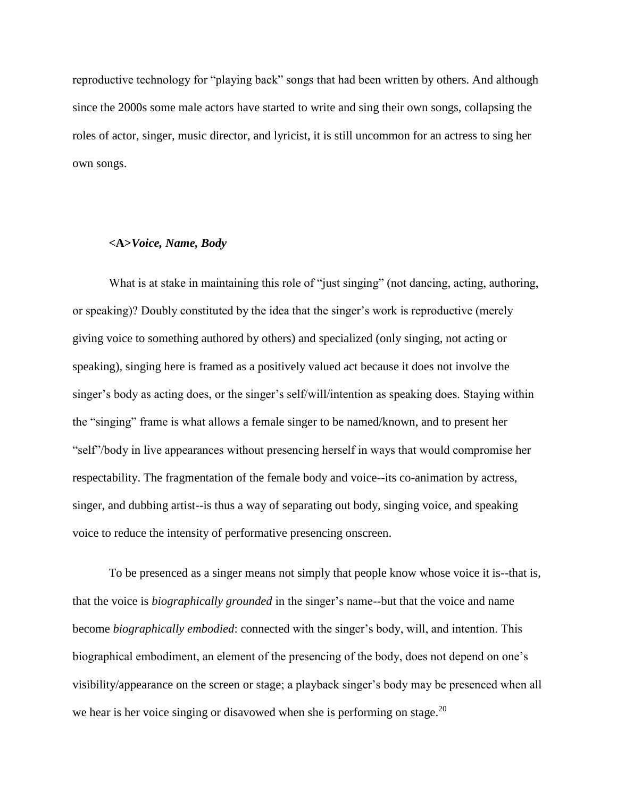reproductive technology for "playing back" songs that had been written by others. And although since the 2000s some male actors have started to write and sing their own songs, collapsing the roles of actor, singer, music director, and lyricist, it is still uncommon for an actress to sing her own songs.

# **<A>***Voice, Name, Body*

What is at stake in maintaining this role of "just singing" (not dancing, acting, authoring, or speaking)? Doubly constituted by the idea that the singer's work is reproductive (merely giving voice to something authored by others) and specialized (only singing, not acting or speaking), singing here is framed as a positively valued act because it does not involve the singer's body as acting does, or the singer's self/will/intention as speaking does. Staying within the "singing" frame is what allows a female singer to be named/known, and to present her "self"/body in live appearances without presencing herself in ways that would compromise her respectability. The fragmentation of the female body and voice--its co-animation by actress, singer, and dubbing artist--is thus a way of separating out body, singing voice, and speaking voice to reduce the intensity of performative presencing onscreen.

To be presenced as a singer means not simply that people know whose voice it is--that is, that the voice is *biographically grounded* in the singer's name--but that the voice and name become *biographically embodied*: connected with the singer's body, will, and intention. This biographical embodiment, an element of the presencing of the body, does not depend on one's visibility/appearance on the screen or stage; a playback singer's body may be presenced when all we hear is her voice singing or disavowed when she is performing on stage.<sup>20</sup>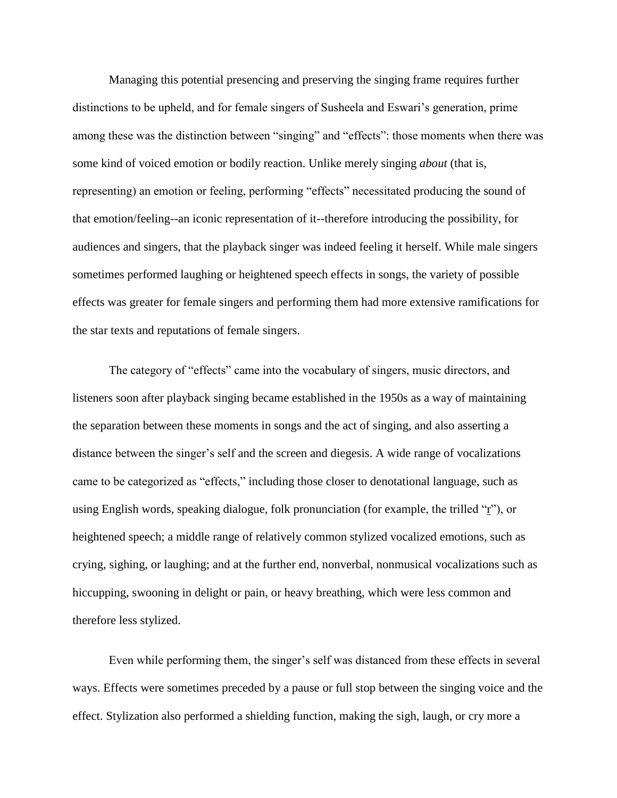Managing this potential presencing and preserving the singing frame requires further distinctions to be upheld, and for female singers of Susheela and Eswari's generation, prime among these was the distinction between "singing" and "effects": those moments when there was some kind of voiced emotion or bodily reaction. Unlike merely singing *about* (that is, representing) an emotion or feeling, performing "effects" necessitated producing the sound of that emotion/feeling--an iconic representation of it--therefore introducing the possibility, for audiences and singers, that the playback singer was indeed feeling it herself. While male singers sometimes performed laughing or heightened speech effects in songs, the variety of possible effects was greater for female singers and performing them had more extensive ramifications for the star texts and reputations of female singers.

The category of "effects" came into the vocabulary of singers, music directors, and listeners soon after playback singing became established in the 1950s as a way of maintaining the separation between these moments in songs and the act of singing, and also asserting a distance between the singer's self and the screen and diegesis. A wide range of vocalizations came to be categorized as "effects," including those closer to denotational language, such as using English words, speaking dialogue, folk pronunciation (for example, the trilled " $\mathbf{r}$ "), or heightened speech; a middle range of relatively common stylized vocalized emotions, such as crying, sighing, or laughing; and at the further end, nonverbal, nonmusical vocalizations such as hiccupping, swooning in delight or pain, or heavy breathing, which were less common and therefore less stylized.

Even while performing them, the singer's self was distanced from these effects in several ways. Effects were sometimes preceded by a pause or full stop between the singing voice and the effect. Stylization also performed a shielding function, making the sigh, laugh, or cry more a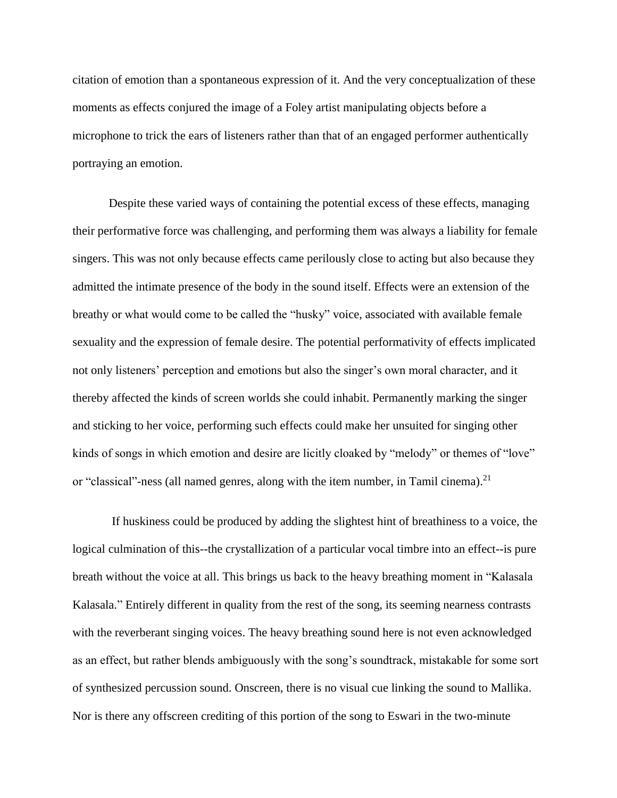citation of emotion than a spontaneous expression of it. And the very conceptualization of these moments as effects conjured the image of a Foley artist manipulating objects before a microphone to trick the ears of listeners rather than that of an engaged performer authentically portraying an emotion.

Despite these varied ways of containing the potential excess of these effects, managing their performative force was challenging, and performing them was always a liability for female singers. This was not only because effects came perilously close to acting but also because they admitted the intimate presence of the body in the sound itself. Effects were an extension of the breathy or what would come to be called the "husky" voice, associated with available female sexuality and the expression of female desire. The potential performativity of effects implicated not only listeners' perception and emotions but also the singer's own moral character, and it thereby affected the kinds of screen worlds she could inhabit. Permanently marking the singer and sticking to her voice, performing such effects could make her unsuited for singing other kinds of songs in which emotion and desire are licitly cloaked by "melody" or themes of "love" or "classical"-ness (all named genres, along with the item number, in Tamil cinema).<sup>21</sup>

If huskiness could be produced by adding the slightest hint of breathiness to a voice, the logical culmination of this--the crystallization of a particular vocal timbre into an effect--is pure breath without the voice at all. This brings us back to the heavy breathing moment in "Kalasala Kalasala." Entirely different in quality from the rest of the song, its seeming nearness contrasts with the reverberant singing voices. The heavy breathing sound here is not even acknowledged as an effect, but rather blends ambiguously with the song's soundtrack, mistakable for some sort of synthesized percussion sound. Onscreen, there is no visual cue linking the sound to Mallika. Nor is there any offscreen crediting of this portion of the song to Eswari in the two-minute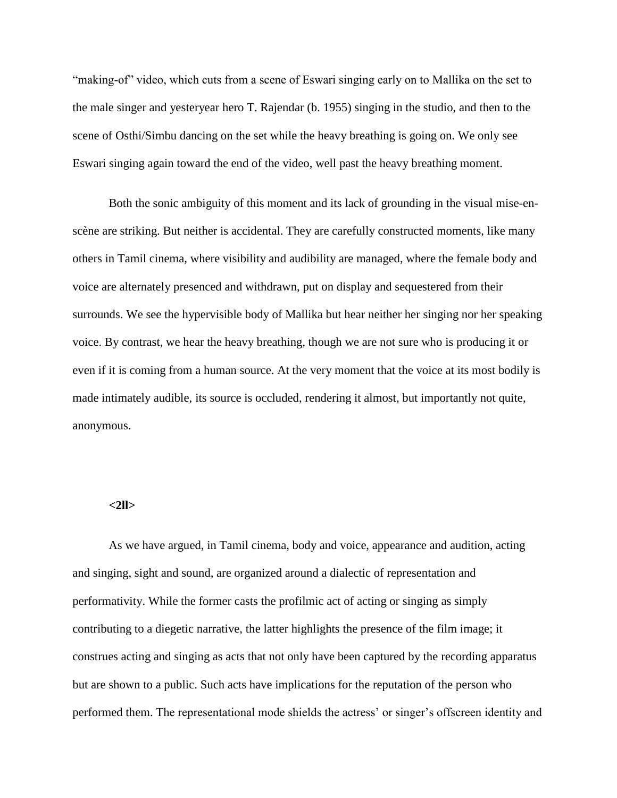"making-of" video, which cuts from a scene of Eswari singing early on to Mallika on the set to the male singer and yesteryear hero T. Rajendar (b. 1955) singing in the studio, and then to the scene of Osthi/Simbu dancing on the set while the heavy breathing is going on. We only see Eswari singing again toward the end of the video, well past the heavy breathing moment.

Both the sonic ambiguity of this moment and its lack of grounding in the visual mise-enscène are striking. But neither is accidental. They are carefully constructed moments, like many others in Tamil cinema, where visibility and audibility are managed, where the female body and voice are alternately presenced and withdrawn, put on display and sequestered from their surrounds. We see the hypervisible body of Mallika but hear neither her singing nor her speaking voice. By contrast, we hear the heavy breathing, though we are not sure who is producing it or even if it is coming from a human source. At the very moment that the voice at its most bodily is made intimately audible, its source is occluded, rendering it almost, but importantly not quite, anonymous.

# **<2ll>**

As we have argued, in Tamil cinema, body and voice, appearance and audition, acting and singing, sight and sound, are organized around a dialectic of representation and performativity. While the former casts the profilmic act of acting or singing as simply contributing to a diegetic narrative, the latter highlights the presence of the film image; it construes acting and singing as acts that not only have been captured by the recording apparatus but are shown to a public. Such acts have implications for the reputation of the person who performed them. The representational mode shields the actress' or singer's offscreen identity and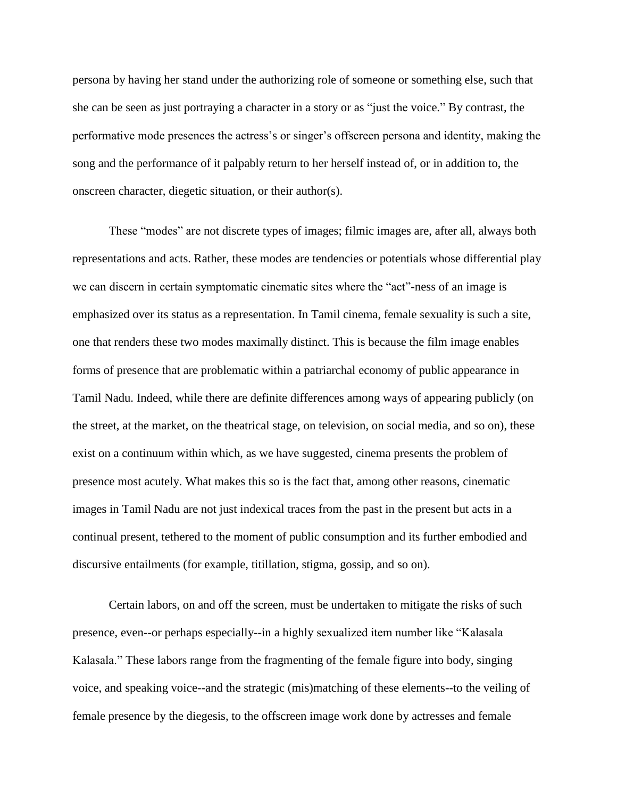persona by having her stand under the authorizing role of someone or something else, such that she can be seen as just portraying a character in a story or as "just the voice." By contrast, the performative mode presences the actress's or singer's offscreen persona and identity, making the song and the performance of it palpably return to her herself instead of, or in addition to, the onscreen character, diegetic situation, or their author(s).

These "modes" are not discrete types of images; filmic images are, after all, always both representations and acts. Rather, these modes are tendencies or potentials whose differential play we can discern in certain symptomatic cinematic sites where the "act"-ness of an image is emphasized over its status as a representation. In Tamil cinema, female sexuality is such a site, one that renders these two modes maximally distinct. This is because the film image enables forms of presence that are problematic within a patriarchal economy of public appearance in Tamil Nadu. Indeed, while there are definite differences among ways of appearing publicly (on the street, at the market, on the theatrical stage, on television, on social media, and so on), these exist on a continuum within which, as we have suggested, cinema presents the problem of presence most acutely. What makes this so is the fact that, among other reasons, cinematic images in Tamil Nadu are not just indexical traces from the past in the present but acts in a continual present, tethered to the moment of public consumption and its further embodied and discursive entailments (for example, titillation, stigma, gossip, and so on).

Certain labors, on and off the screen, must be undertaken to mitigate the risks of such presence, even--or perhaps especially--in a highly sexualized item number like "Kalasala Kalasala." These labors range from the fragmenting of the female figure into body, singing voice, and speaking voice--and the strategic (mis)matching of these elements--to the veiling of female presence by the diegesis, to the offscreen image work done by actresses and female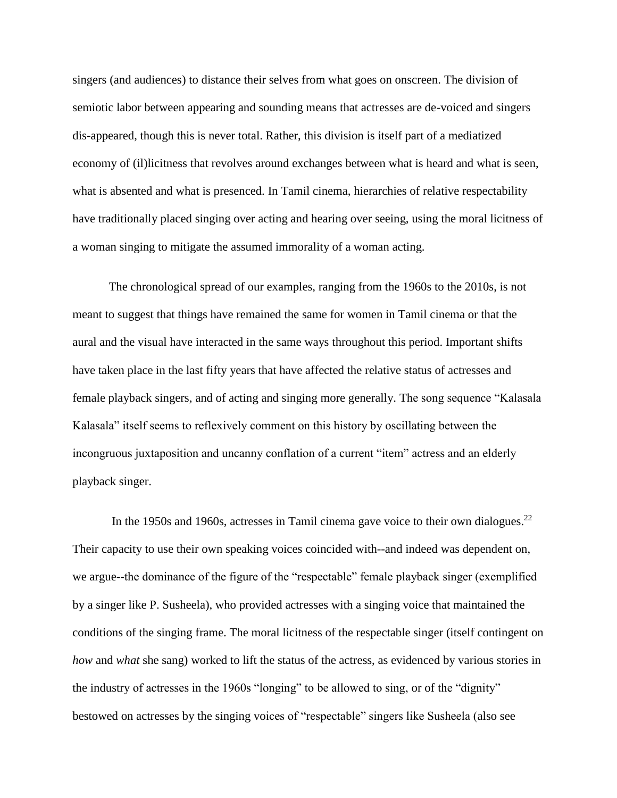singers (and audiences) to distance their selves from what goes on onscreen. The division of semiotic labor between appearing and sounding means that actresses are de-voiced and singers dis-appeared, though this is never total. Rather, this division is itself part of a mediatized economy of (il)licitness that revolves around exchanges between what is heard and what is seen, what is absented and what is presenced. In Tamil cinema, hierarchies of relative respectability have traditionally placed singing over acting and hearing over seeing, using the moral licitness of a woman singing to mitigate the assumed immorality of a woman acting.

The chronological spread of our examples, ranging from the 1960s to the 2010s, is not meant to suggest that things have remained the same for women in Tamil cinema or that the aural and the visual have interacted in the same ways throughout this period. Important shifts have taken place in the last fifty years that have affected the relative status of actresses and female playback singers, and of acting and singing more generally. The song sequence "Kalasala Kalasala" itself seems to reflexively comment on this history by oscillating between the incongruous juxtaposition and uncanny conflation of a current "item" actress and an elderly playback singer.

In the 1950s and 1960s, actresses in Tamil cinema gave voice to their own dialogues.<sup>22</sup> Their capacity to use their own speaking voices coincided with--and indeed was dependent on, we argue--the dominance of the figure of the "respectable" female playback singer (exemplified by a singer like P. Susheela), who provided actresses with a singing voice that maintained the conditions of the singing frame. The moral licitness of the respectable singer (itself contingent on *how* and *what* she sang) worked to lift the status of the actress, as evidenced by various stories in the industry of actresses in the 1960s "longing" to be allowed to sing, or of the "dignity" bestowed on actresses by the singing voices of "respectable" singers like Susheela (also see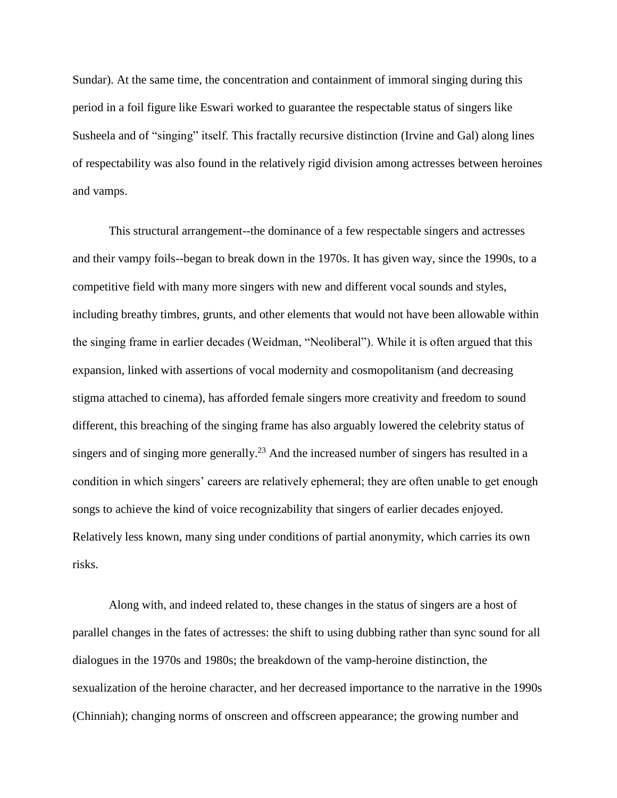Sundar). At the same time, the concentration and containment of immoral singing during this period in a foil figure like Eswari worked to guarantee the respectable status of singers like Susheela and of "singing" itself. This fractally recursive distinction (Irvine and Gal) along lines of respectability was also found in the relatively rigid division among actresses between heroines and vamps.

This structural arrangement--the dominance of a few respectable singers and actresses and their vampy foils--began to break down in the 1970s. It has given way, since the 1990s, to a competitive field with many more singers with new and different vocal sounds and styles, including breathy timbres, grunts, and other elements that would not have been allowable within the singing frame in earlier decades (Weidman, "Neoliberal"). While it is often argued that this expansion, linked with assertions of vocal modernity and cosmopolitanism (and decreasing stigma attached to cinema), has afforded female singers more creativity and freedom to sound different, this breaching of the singing frame has also arguably lowered the celebrity status of singers and of singing more generally.<sup>23</sup> And the increased number of singers has resulted in a condition in which singers' careers are relatively ephemeral; they are often unable to get enough songs to achieve the kind of voice recognizability that singers of earlier decades enjoyed. Relatively less known, many sing under conditions of partial anonymity, which carries its own risks.

Along with, and indeed related to, these changes in the status of singers are a host of parallel changes in the fates of actresses: the shift to using dubbing rather than sync sound for all dialogues in the 1970s and 1980s; the breakdown of the vamp-heroine distinction, the sexualization of the heroine character, and her decreased importance to the narrative in the 1990s (Chinniah); changing norms of onscreen and offscreen appearance; the growing number and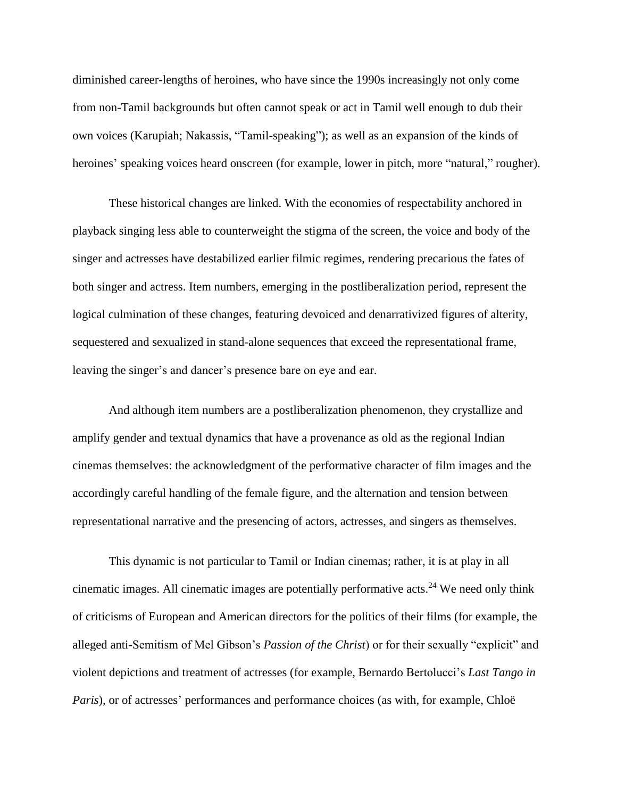diminished career-lengths of heroines, who have since the 1990s increasingly not only come from non-Tamil backgrounds but often cannot speak or act in Tamil well enough to dub their own voices (Karupiah; Nakassis, "Tamil-speaking"); as well as an expansion of the kinds of heroines' speaking voices heard onscreen (for example, lower in pitch, more "natural," rougher).

These historical changes are linked. With the economies of respectability anchored in playback singing less able to counterweight the stigma of the screen, the voice and body of the singer and actresses have destabilized earlier filmic regimes, rendering precarious the fates of both singer and actress. Item numbers, emerging in the postliberalization period, represent the logical culmination of these changes, featuring devoiced and denarrativized figures of alterity, sequestered and sexualized in stand-alone sequences that exceed the representational frame, leaving the singer's and dancer's presence bare on eye and ear.

And although item numbers are a postliberalization phenomenon, they crystallize and amplify gender and textual dynamics that have a provenance as old as the regional Indian cinemas themselves: the acknowledgment of the performative character of film images and the accordingly careful handling of the female figure, and the alternation and tension between representational narrative and the presencing of actors, actresses, and singers as themselves.

This dynamic is not particular to Tamil or Indian cinemas; rather, it is at play in all cinematic images. All cinematic images are potentially performative acts. <sup>24</sup> We need only think of criticisms of European and American directors for the politics of their films (for example, the alleged anti-Semitism of Mel Gibson's *Passion of the Christ*) or for their sexually "explicit" and violent depictions and treatment of actresses (for example, Bernardo Bertolucci's *Last Tango in Paris*), or of actresses' performances and performance choices (as with, for example, Chloë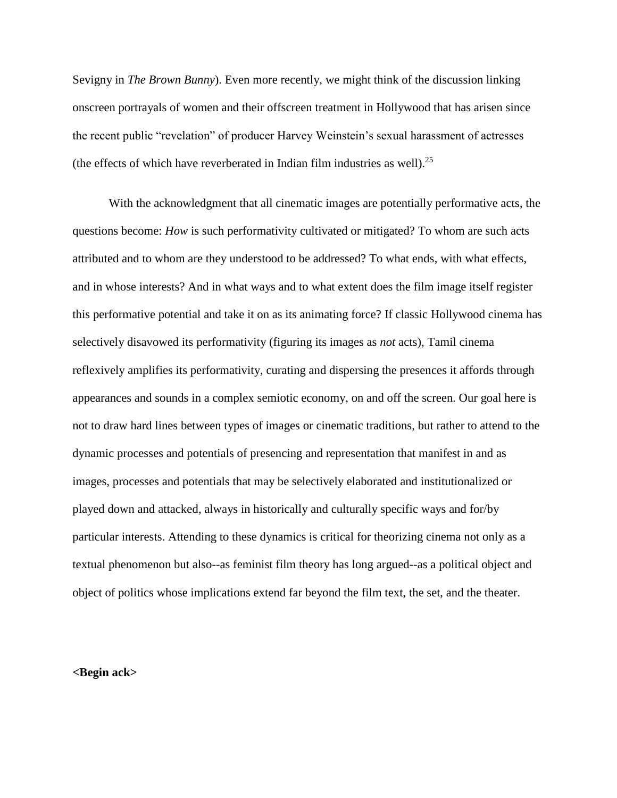Sevigny in *The Brown Bunny*). Even more recently, we might think of the discussion linking onscreen portrayals of women and their offscreen treatment in Hollywood that has arisen since the recent public "revelation" of producer Harvey Weinstein's sexual harassment of actresses (the effects of which have reverberated in Indian film industries as well).<sup>25</sup>

With the acknowledgment that all cinematic images are potentially performative acts, the questions become: *How* is such performativity cultivated or mitigated? To whom are such acts attributed and to whom are they understood to be addressed? To what ends, with what effects, and in whose interests? And in what ways and to what extent does the film image itself register this performative potential and take it on as its animating force? If classic Hollywood cinema has selectively disavowed its performativity (figuring its images as *not* acts), Tamil cinema reflexively amplifies its performativity, curating and dispersing the presences it affords through appearances and sounds in a complex semiotic economy, on and off the screen. Our goal here is not to draw hard lines between types of images or cinematic traditions, but rather to attend to the dynamic processes and potentials of presencing and representation that manifest in and as images, processes and potentials that may be selectively elaborated and institutionalized or played down and attacked, always in historically and culturally specific ways and for/by particular interests. Attending to these dynamics is critical for theorizing cinema not only as a textual phenomenon but also--as feminist film theory has long argued--as a political object and object of politics whose implications extend far beyond the film text, the set, and the theater.

### **<Begin ack>**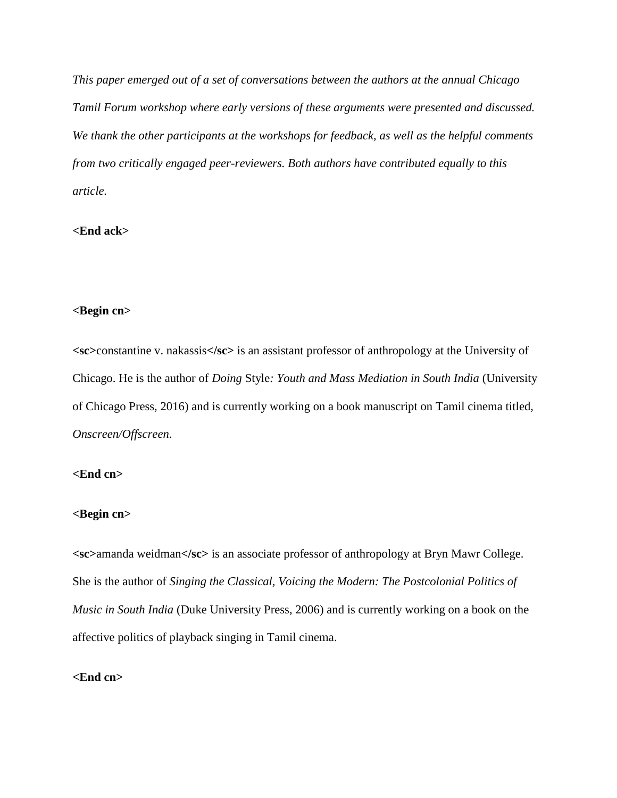*This paper emerged out of a set of conversations between the authors at the annual Chicago Tamil Forum workshop where early versions of these arguments were presented and discussed. We thank the other participants at the workshops for feedback, as well as the helpful comments from two critically engaged peer-reviewers. Both authors have contributed equally to this article.*

# **<End ack>**

# **<Begin cn>**

**<sc>**constantine v. nakassis**</sc>** is an assistant professor of anthropology at the University of Chicago. He is the author of *Doing* Style*: Youth and Mass Mediation in South India* (University of Chicago Press, 2016) and is currently working on a book manuscript on Tamil cinema titled, *Onscreen/Offscreen*.

# **<End cn>**

# **<Begin cn>**

**<sc>**amanda weidman**</sc>** is an associate professor of anthropology at Bryn Mawr College. She is the author of *Singing the Classical, Voicing the Modern: The Postcolonial Politics of Music in South India* (Duke University Press, 2006) and is currently working on a book on the affective politics of playback singing in Tamil cinema.

# **<End cn>**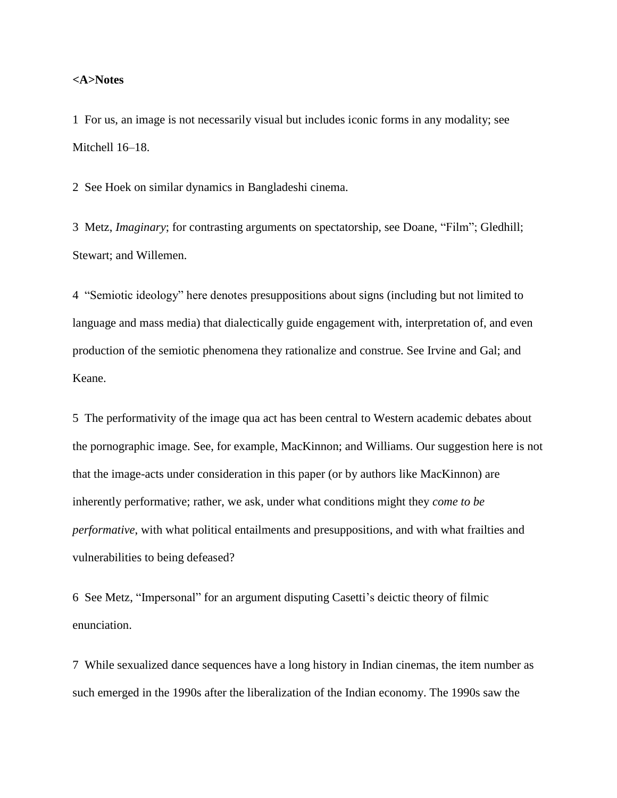### **<A>Notes**

1 For us, an image is not necessarily visual but includes iconic forms in any modality; see Mitchell 16–18.

2 See Hoek on similar dynamics in Bangladeshi cinema.

3 Metz, *Imaginary*; for contrasting arguments on spectatorship, see Doane, "Film"; Gledhill; Stewart; and Willemen.

4 "Semiotic ideology" here denotes presuppositions about signs (including but not limited to language and mass media) that dialectically guide engagement with, interpretation of, and even production of the semiotic phenomena they rationalize and construe. See Irvine and Gal; and Keane.

5 The performativity of the image qua act has been central to Western academic debates about the pornographic image. See, for example, MacKinnon; and Williams. Our suggestion here is not that the image-acts under consideration in this paper (or by authors like MacKinnon) are inherently performative; rather, we ask, under what conditions might they *come to be performative*, with what political entailments and presuppositions, and with what frailties and vulnerabilities to being defeased?

6 See Metz, "Impersonal" for an argument disputing Casetti's deictic theory of filmic enunciation.

7 While sexualized dance sequences have a long history in Indian cinemas, the item number as such emerged in the 1990s after the liberalization of the Indian economy. The 1990s saw the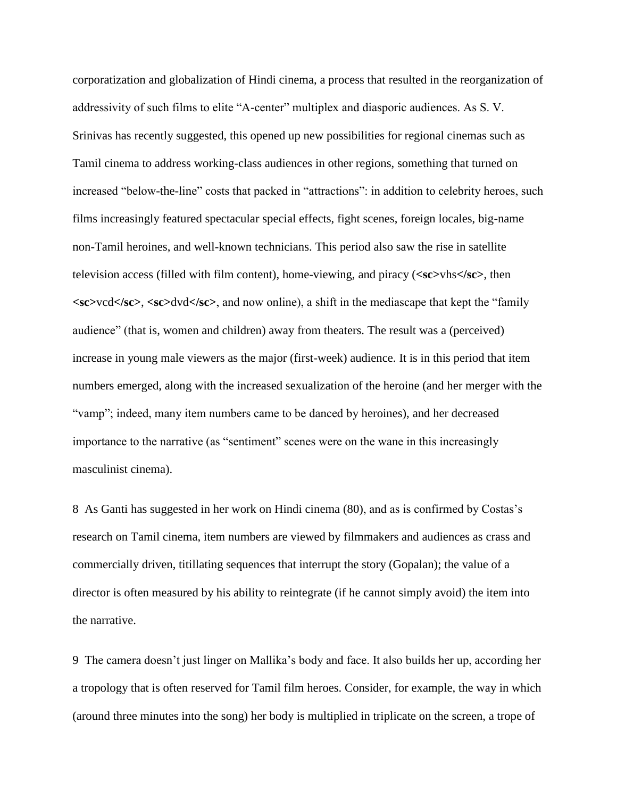corporatization and globalization of Hindi cinema, a process that resulted in the reorganization of addressivity of such films to elite "A-center" multiplex and diasporic audiences. As S. V. Srinivas has recently suggested, this opened up new possibilities for regional cinemas such as Tamil cinema to address working-class audiences in other regions, something that turned on increased "below-the-line" costs that packed in "attractions": in addition to celebrity heroes, such films increasingly featured spectacular special effects, fight scenes, foreign locales, big-name non-Tamil heroines, and well-known technicians. This period also saw the rise in satellite television access (filled with film content), home-viewing, and piracy (**<sc>**vhs**</sc>**, then **<sc>**vcd**</sc>**, **<sc>**dvd**</sc>**, and now online), a shift in the mediascape that kept the "family audience" (that is, women and children) away from theaters. The result was a (perceived) increase in young male viewers as the major (first-week) audience. It is in this period that item numbers emerged, along with the increased sexualization of the heroine (and her merger with the "vamp"; indeed, many item numbers came to be danced by heroines), and her decreased importance to the narrative (as "sentiment" scenes were on the wane in this increasingly masculinist cinema).

8 As Ganti has suggested in her work on Hindi cinema (80), and as is confirmed by Costas's research on Tamil cinema, item numbers are viewed by filmmakers and audiences as crass and commercially driven, titillating sequences that interrupt the story (Gopalan); the value of a director is often measured by his ability to reintegrate (if he cannot simply avoid) the item into the narrative.

9 The camera doesn't just linger on Mallika's body and face. It also builds her up, according her a tropology that is often reserved for Tamil film heroes. Consider, for example, the way in which (around three minutes into the song) her body is multiplied in triplicate on the screen, a trope of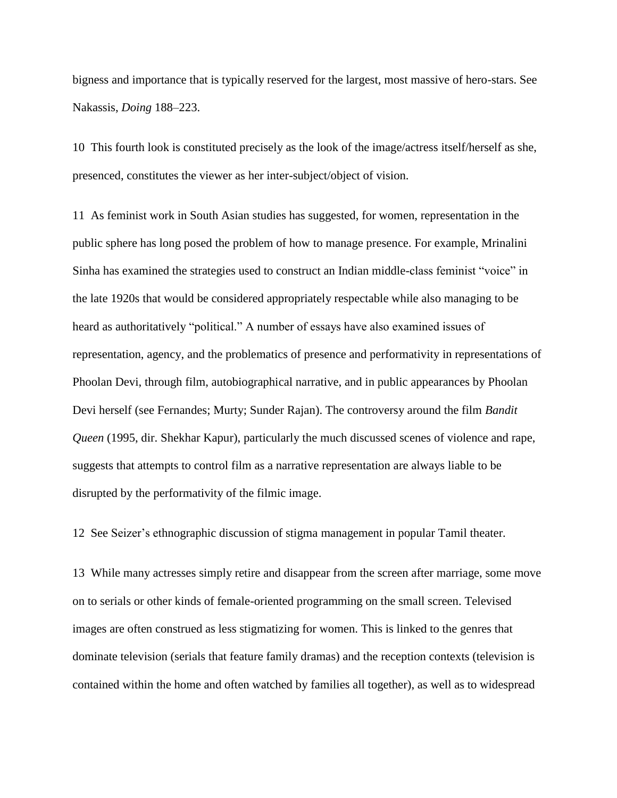bigness and importance that is typically reserved for the largest, most massive of hero-stars. See Nakassis, *Doing* 188–223.

10 This fourth look is constituted precisely as the look of the image/actress itself/herself as she, presenced, constitutes the viewer as her inter-subject/object of vision.

11 As feminist work in South Asian studies has suggested, for women, representation in the public sphere has long posed the problem of how to manage presence. For example, Mrinalini Sinha has examined the strategies used to construct an Indian middle-class feminist "voice" in the late 1920s that would be considered appropriately respectable while also managing to be heard as authoritatively "political." A number of essays have also examined issues of representation, agency, and the problematics of presence and performativity in representations of Phoolan Devi, through film, autobiographical narrative, and in public appearances by Phoolan Devi herself (see Fernandes; Murty; Sunder Rajan). The controversy around the film *Bandit Queen* (1995, dir. Shekhar Kapur), particularly the much discussed scenes of violence and rape, suggests that attempts to control film as a narrative representation are always liable to be disrupted by the performativity of the filmic image.

12 See Seizer's ethnographic discussion of stigma management in popular Tamil theater.

13 While many actresses simply retire and disappear from the screen after marriage, some move on to serials or other kinds of female-oriented programming on the small screen. Televised images are often construed as less stigmatizing for women. This is linked to the genres that dominate television (serials that feature family dramas) and the reception contexts (television is contained within the home and often watched by families all together), as well as to widespread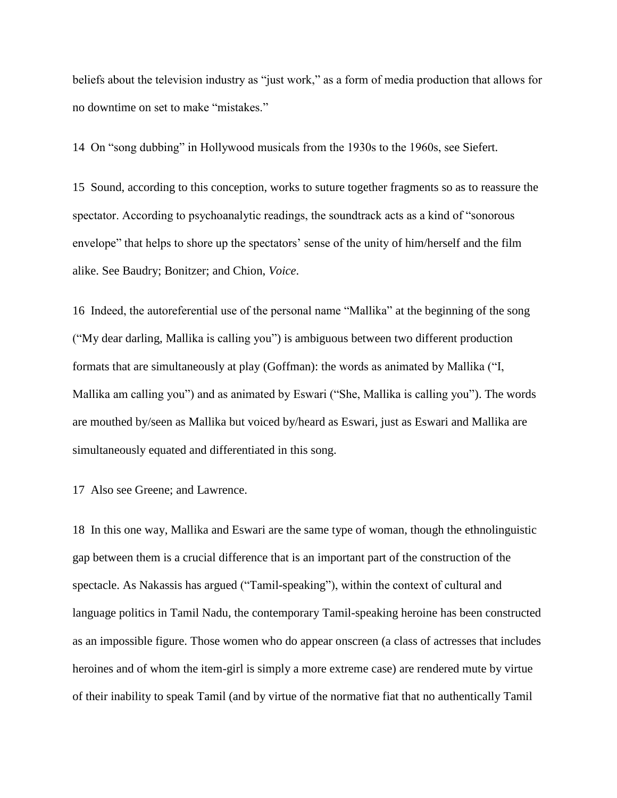beliefs about the television industry as "just work," as a form of media production that allows for no downtime on set to make "mistakes."

14 On "song dubbing" in Hollywood musicals from the 1930s to the 1960s, see Siefert.

15 Sound, according to this conception, works to suture together fragments so as to reassure the spectator. According to psychoanalytic readings, the soundtrack acts as a kind of "sonorous envelope" that helps to shore up the spectators' sense of the unity of him/herself and the film alike. See Baudry; Bonitzer; and Chion, *Voice*.

16 Indeed, the autoreferential use of the personal name "Mallika" at the beginning of the song ("My dear darling, Mallika is calling you") is ambiguous between two different production formats that are simultaneously at play (Goffman): the words as animated by Mallika ("I, Mallika am calling you") and as animated by Eswari ("She, Mallika is calling you"). The words are mouthed by/seen as Mallika but voiced by/heard as Eswari, just as Eswari and Mallika are simultaneously equated and differentiated in this song.

17 Also see Greene; and Lawrence.

18 In this one way, Mallika and Eswari are the same type of woman, though the ethnolinguistic gap between them is a crucial difference that is an important part of the construction of the spectacle. As Nakassis has argued ("Tamil-speaking"), within the context of cultural and language politics in Tamil Nadu, the contemporary Tamil-speaking heroine has been constructed as an impossible figure. Those women who do appear onscreen (a class of actresses that includes heroines and of whom the item-girl is simply a more extreme case) are rendered mute by virtue of their inability to speak Tamil (and by virtue of the normative fiat that no authentically Tamil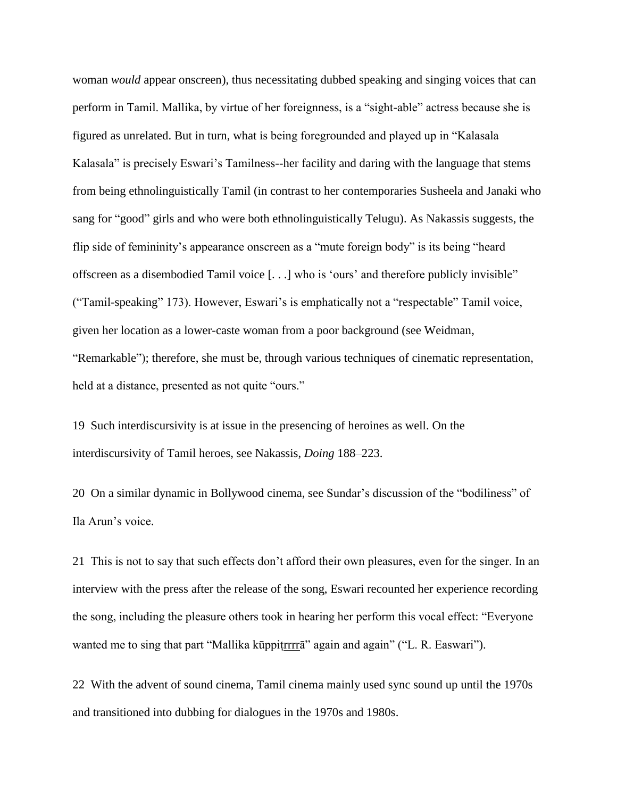woman *would* appear onscreen), thus necessitating dubbed speaking and singing voices that can perform in Tamil. Mallika, by virtue of her foreignness, is a "sight-able" actress because she is figured as unrelated. But in turn, what is being foregrounded and played up in "Kalasala Kalasala" is precisely Eswari's Tamilness--her facility and daring with the language that stems from being ethnolinguistically Tamil (in contrast to her contemporaries Susheela and Janaki who sang for "good" girls and who were both ethnolinguistically Telugu). As Nakassis suggests, the flip side of femininity's appearance onscreen as a "mute foreign body" is its being "heard offscreen as a disembodied Tamil voice [. . .] who is 'ours' and therefore publicly invisible" ("Tamil-speaking" 173). However, Eswari's is emphatically not a "respectable" Tamil voice, given her location as a lower-caste woman from a poor background (see Weidman, "Remarkable"); therefore, she must be, through various techniques of cinematic representation, held at a distance, presented as not quite "ours."

19 Such interdiscursivity is at issue in the presencing of heroines as well. On the interdiscursivity of Tamil heroes, see Nakassis, *Doing* 188–223.

20 On a similar dynamic in Bollywood cinema, see Sundar's discussion of the "bodiliness" of Ila Arun's voice.

21 This is not to say that such effects don't afford their own pleasures, even for the singer. In an interview with the press after the release of the song, Eswari recounted her experience recording the song, including the pleasure others took in hearing her perform this vocal effect: "Everyone wanted me to sing that part "Mallika kūppiṭrrrrā" again and again" ("L. R. Easwari").

22 With the advent of sound cinema, Tamil cinema mainly used sync sound up until the 1970s and transitioned into dubbing for dialogues in the 1970s and 1980s.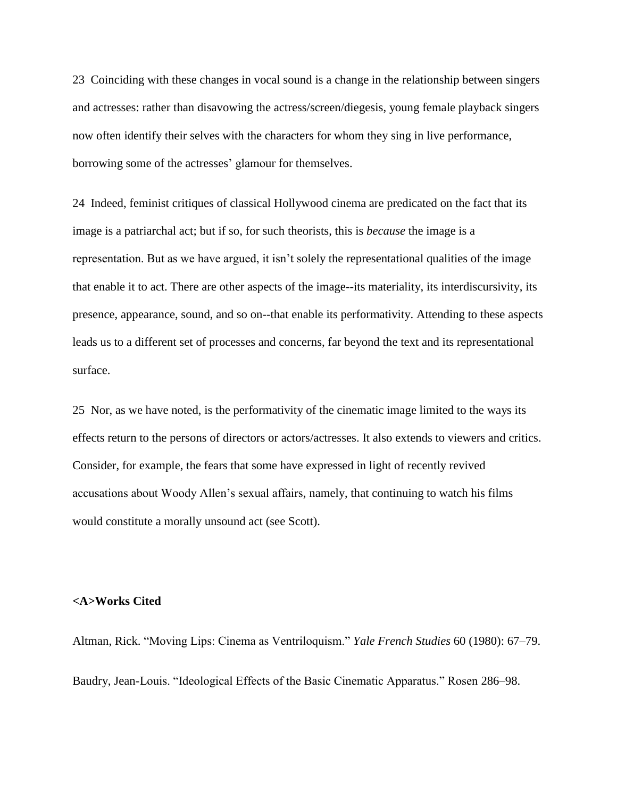23 Coinciding with these changes in vocal sound is a change in the relationship between singers and actresses: rather than disavowing the actress/screen/diegesis, young female playback singers now often identify their selves with the characters for whom they sing in live performance, borrowing some of the actresses' glamour for themselves.

24 Indeed, feminist critiques of classical Hollywood cinema are predicated on the fact that its image is a patriarchal act; but if so, for such theorists, this is *because* the image is a representation. But as we have argued, it isn't solely the representational qualities of the image that enable it to act. There are other aspects of the image--its materiality, its interdiscursivity, its presence, appearance, sound, and so on--that enable its performativity. Attending to these aspects leads us to a different set of processes and concerns, far beyond the text and its representational surface.

25 Nor, as we have noted, is the performativity of the cinematic image limited to the ways its effects return to the persons of directors or actors/actresses. It also extends to viewers and critics. Consider, for example, the fears that some have expressed in light of recently revived accusations about Woody Allen's sexual affairs, namely, that continuing to watch his films would constitute a morally unsound act (see Scott).

#### **<A>Works Cited**

Altman, Rick. "Moving Lips: Cinema as Ventriloquism." *Yale French Studies* 60 (1980): 67–79. Baudry, Jean-Louis. "Ideological Effects of the Basic Cinematic Apparatus." Rosen 286–98.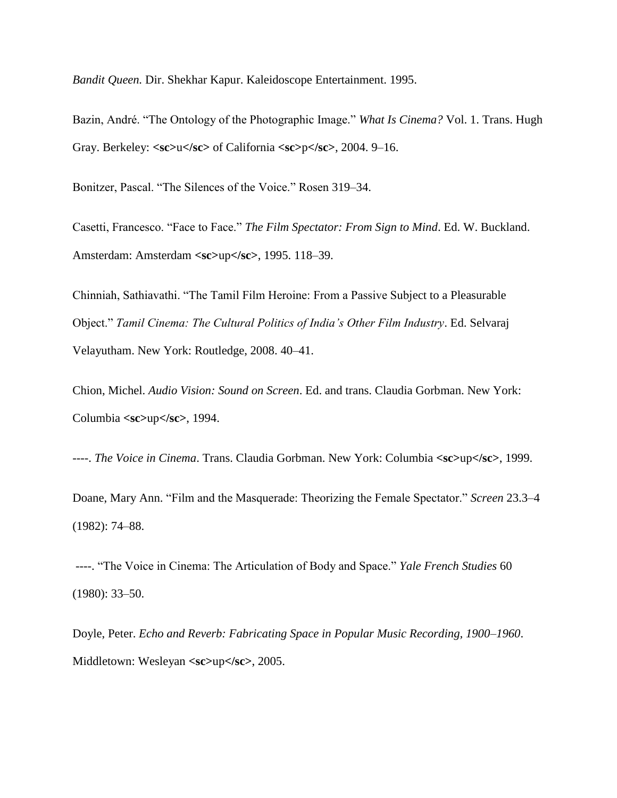*Bandit Queen.* Dir. Shekhar Kapur. Kaleidoscope Entertainment. 1995.

Bazin, André. "The Ontology of the Photographic Image." *What Is Cinema?* Vol. 1. Trans. Hugh Gray. Berkeley: **<sc>**u**</sc>** of California **<sc>**p**</sc>**, 2004. 9–16.

Bonitzer, Pascal. "The Silences of the Voice." Rosen 319–34.

Casetti, Francesco. "Face to Face." *The Film Spectator: From Sign to Mind*. Ed. W. Buckland. Amsterdam: Amsterdam **<sc>**up**</sc>**, 1995. 118–39.

Chinniah, Sathiavathi. "The Tamil Film Heroine: From a Passive Subject to a Pleasurable Object." *Tamil Cinema: The Cultural Politics of India's Other Film Industry*. Ed. Selvaraj Velayutham. New York: Routledge, 2008. 40–41.

Chion, Michel. *Audio Vision: Sound on Screen*. Ed. and trans. Claudia Gorbman. New York: Columbia **<sc>**up**</sc>**, 1994.

----. *The Voice in Cinema*. Trans. Claudia Gorbman. New York: Columbia **<sc>**up**</sc>**, 1999.

Doane, Mary Ann. "Film and the Masquerade: Theorizing the Female Spectator." *Screen* 23.3–4 (1982): 74–88.

----. "The Voice in Cinema: The Articulation of Body and Space." *Yale French Studies* 60 (1980): 33–50.

Doyle, Peter. *Echo and Reverb: Fabricating Space in Popular Music Recording, 1900–1960*. Middletown: Wesleyan **<sc>**up**</sc>**, 2005.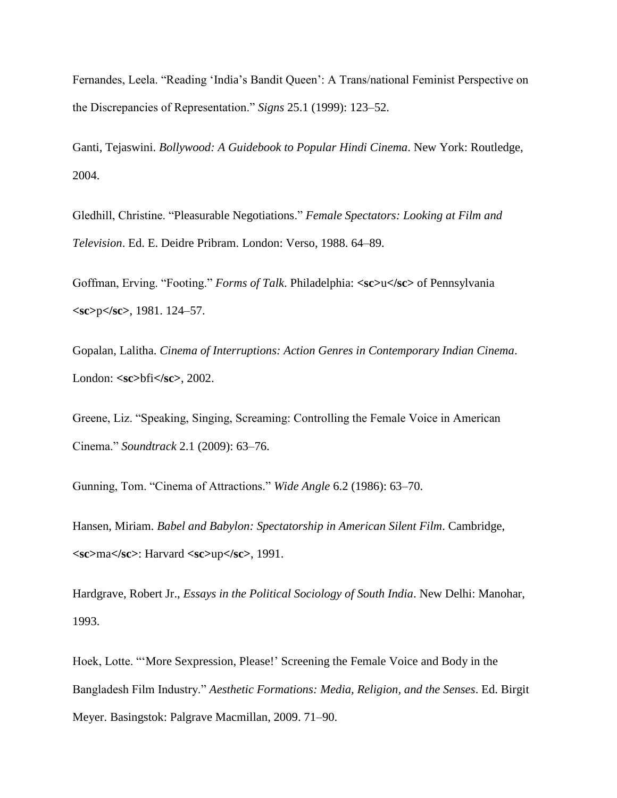Fernandes, Leela. "Reading 'India's Bandit Queen': A Trans/national Feminist Perspective on the Discrepancies of Representation." *Signs* 25.1 (1999): 123–52.

Ganti, Tejaswini. *Bollywood: A Guidebook to Popular Hindi Cinema*. New York: Routledge, 2004.

Gledhill, Christine. "Pleasurable Negotiations." *Female Spectators: Looking at Film and Television*. Ed. E. Deidre Pribram. London: Verso, 1988. 64–89.

Goffman, Erving. "Footing." *Forms of Talk*. Philadelphia: **<sc>**u**</sc>** of Pennsylvania **<sc>**p**</sc>**, 1981. 124–57.

Gopalan, Lalitha. *Cinema of Interruptions: Action Genres in Contemporary Indian Cinema*. London: **<sc>**bfi**</sc>**, 2002.

Greene, Liz. "Speaking, Singing, Screaming: Controlling the Female Voice in American Cinema." *Soundtrack* 2.1 (2009): 63–76.

Gunning, Tom. "Cinema of Attractions." *Wide Angle* 6.2 (1986): 63–70.

Hansen, Miriam. *Babel and Babylon: Spectatorship in American Silent Film*. Cambridge, **<sc>**ma**</sc>**: Harvard **<sc>**up**</sc>**, 1991.

Hardgrave, Robert Jr., *Essays in the Political Sociology of South India*. New Delhi: Manohar, 1993.

Hoek, Lotte. "'More Sexpression, Please!' Screening the Female Voice and Body in the Bangladesh Film Industry." *Aesthetic Formations: Media, Religion, and the Senses*. Ed. Birgit Meyer. Basingstok: Palgrave Macmillan, 2009. 71–90.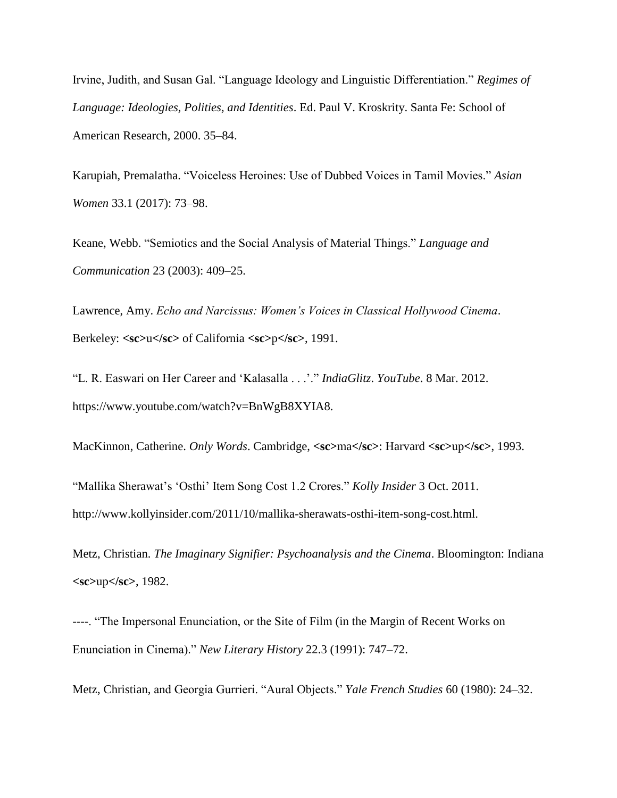Irvine, Judith, and Susan Gal. "Language Ideology and Linguistic Differentiation." *Regimes of Language: Ideologies, Polities, and Identities*. Ed. Paul V. Kroskrity. Santa Fe: School of American Research, 2000. 35–84.

Karupiah, Premalatha. "Voiceless Heroines: Use of Dubbed Voices in Tamil Movies." *Asian Women* 33.1 (2017): 73–98.

Keane, Webb. "Semiotics and the Social Analysis of Material Things." *Language and Communication* 23 (2003): 409–25.

Lawrence, Amy. *Echo and Narcissus: Women's Voices in Classical Hollywood Cinema*. Berkeley: **<sc>**u**</sc>** of California **<sc>**p**</sc>**, 1991.

"L. R. Easwari on Her Career and 'Kalasalla . . .'." *IndiaGlitz*. *YouTube*. 8 Mar. 2012. https://www.youtube.com/watch?v=BnWgB8XYIA8.

MacKinnon, Catherine. *Only Words*. Cambridge, **<sc>**ma**</sc>**: Harvard **<sc>**up**</sc>**, 1993.

"Mallika Sherawat's 'Osthi' Item Song Cost 1.2 Crores." *Kolly Insider* 3 Oct. 2011. http://www.kollyinsider.com/2011/10/mallika-sherawats-osthi-item-song-cost.html.

Metz, Christian. *The Imaginary Signifier: Psychoanalysis and the Cinema*. Bloomington: Indiana **<sc>**up**</sc>**, 1982.

----. "The Impersonal Enunciation, or the Site of Film (in the Margin of Recent Works on Enunciation in Cinema)." *New Literary History* 22.3 (1991): 747–72.

Metz, Christian, and Georgia Gurrieri. "Aural Objects." *Yale French Studies* 60 (1980): 24–32.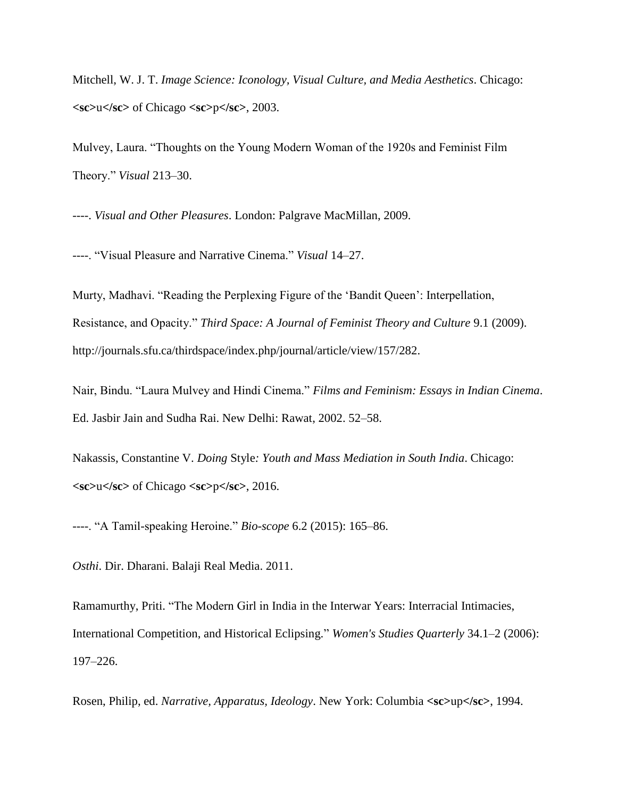Mitchell, W. J. T. *Image Science: Iconology, Visual Culture, and Media Aesthetics*. Chicago: **<sc>**u**</sc>** of Chicago **<sc>**p**</sc>**, 2003.

Mulvey, Laura. "Thoughts on the Young Modern Woman of the 1920s and Feminist Film Theory." *Visual* 213–30.

----. *Visual and Other Pleasures*. London: Palgrave MacMillan, 2009.

----. "Visual Pleasure and Narrative Cinema." *Visual* 14–27.

Murty, Madhavi. "Reading the Perplexing Figure of the 'Bandit Queen': Interpellation, Resistance, and Opacity." *Third Space: A Journal of Feminist Theory and Culture* 9.1 (2009). http://journals.sfu.ca/thirdspace/index.php/journal/article/view/157/282.

Nair, Bindu. "Laura Mulvey and Hindi Cinema." *Films and Feminism: Essays in Indian Cinema*. Ed. Jasbir Jain and Sudha Rai. New Delhi: Rawat, 2002. 52–58.

Nakassis, Constantine V. *Doing* Style*: Youth and Mass Mediation in South India*. Chicago: **<sc>**u**</sc>** of Chicago **<sc>**p**</sc>**, 2016.

----. "A Tamil-speaking Heroine." *Bio-scope* 6.2 (2015): 165–86.

*Osthi*. Dir. Dharani. Balaji Real Media. 2011.

Ramamurthy, Priti. "The Modern Girl in India in the Interwar Years: Interracial Intimacies, International Competition, and Historical Eclipsing." *Women's Studies Quarterly* 34.1–2 (2006): 197–226.

Rosen, Philip, ed. *Narrative, Apparatus, Ideology*. New York: Columbia **<sc>**up**</sc>**, 1994.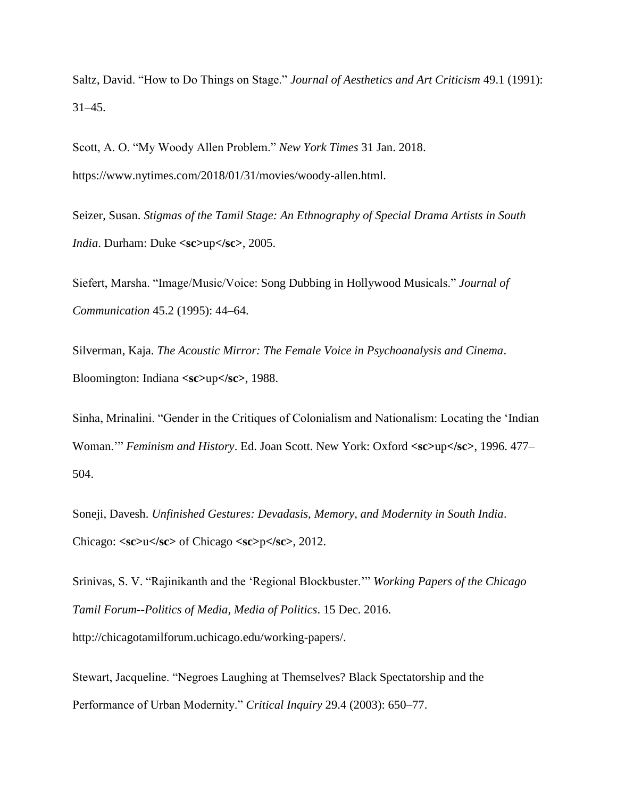Saltz, David. "How to Do Things on Stage." *Journal of Aesthetics and Art Criticism* 49.1 (1991): 31–45.

Scott, A. O. "My Woody Allen Problem." *New York Times* 31 Jan. 2018. https://www.nytimes.com/2018/01/31/movies/woody-allen.html.

Seizer, Susan. *Stigmas of the Tamil Stage: An Ethnography of Special Drama Artists in South India*. Durham: Duke **<sc>**up**</sc>**, 2005.

Siefert, Marsha. "Image/Music/Voice: Song Dubbing in Hollywood Musicals." *Journal of Communication* 45.2 (1995): 44–64.

Silverman, Kaja. *The Acoustic Mirror: The Female Voice in Psychoanalysis and Cinema*. Bloomington: Indiana **<sc>**up**</sc>**, 1988.

Sinha, Mrinalini. "Gender in the Critiques of Colonialism and Nationalism: Locating the 'Indian Woman.'" *Feminism and History*. Ed. Joan Scott. New York: Oxford **<sc>**up**</sc>**, 1996. 477– 504.

Soneji, Davesh. *Unfinished Gestures: Devadasis, Memory, and Modernity in South India*. Chicago: **<sc>**u**</sc>** of Chicago **<sc>**p**</sc>**, 2012.

Srinivas, S. V. "Rajinikanth and the 'Regional Blockbuster.'" *Working Papers of the Chicago Tamil Forum--Politics of Media, Media of Politics*. 15 Dec. 2016. http://chicagotamilforum.uchicago.edu/working-papers/.

Stewart, Jacqueline. "Negroes Laughing at Themselves? Black Spectatorship and the Performance of Urban Modernity." *Critical Inquiry* 29.4 (2003): 650–77.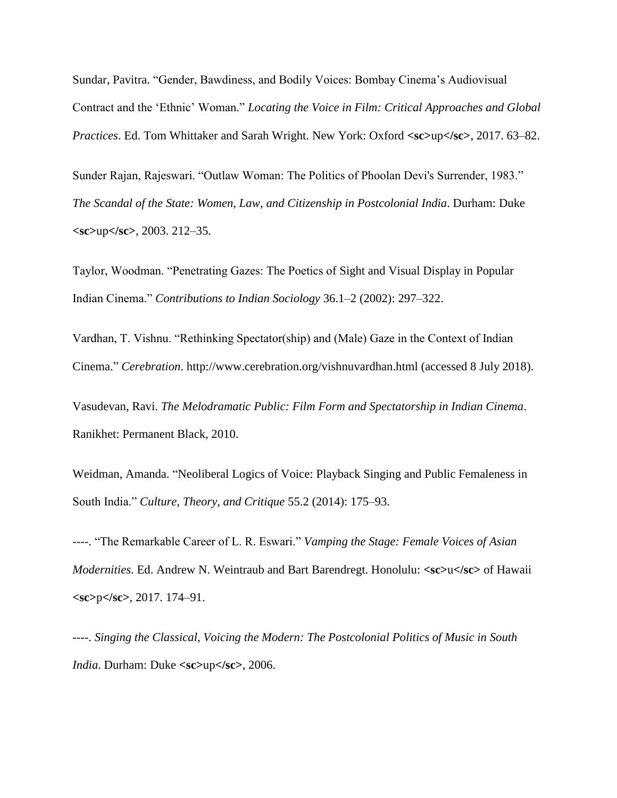Sundar, Pavitra. "Gender, Bawdiness, and Bodily Voices: Bombay Cinema's Audiovisual Contract and the 'Ethnic' Woman." *Locating the Voice in Film: Critical Approaches and Global Practices*. Ed. Tom Whittaker and Sarah Wright. New York: Oxford **<sc>**up**</sc>**, 2017. 63–82.

Sunder Rajan, Rajeswari. "Outlaw Woman: The Politics of Phoolan Devi's Surrender, 1983." *The Scandal of the State: Women, Law, and Citizenship in Postcolonial India*. Durham: Duke **<sc>**up**</sc>**, 2003. 212–35.

Taylor, Woodman. "Penetrating Gazes: The Poetics of Sight and Visual Display in Popular Indian Cinema." *Contributions to Indian Sociology* 36.1–2 (2002): 297–322.

Vardhan, T. Vishnu. "Rethinking Spectator(ship) and (Male) Gaze in the Context of Indian Cinema." *Cerebration*. http://www.cerebration.org/vishnuvardhan.html (accessed 8 July 2018).

Vasudevan, Ravi. *The Melodramatic Public: Film Form and Spectatorship in Indian Cinema*. Ranikhet: Permanent Black, 2010.

Weidman, Amanda. "Neoliberal Logics of Voice: Playback Singing and Public Femaleness in South India." *Culture, Theory, and Critique* 55.2 (2014): 175–93.

----. "The Remarkable Career of L. R. Eswari." *Vamping the Stage: Female Voices of Asian Modernities*. Ed. Andrew N. Weintraub and Bart Barendregt. Honolulu: **<sc>**u**</sc>** of Hawaii **<sc>**p**</sc>**, 2017. 174–91.

----. *Singing the Classical, Voicing the Modern: The Postcolonial Politics of Music in South India*. Durham: Duke **<sc>**up**</sc>**, 2006.